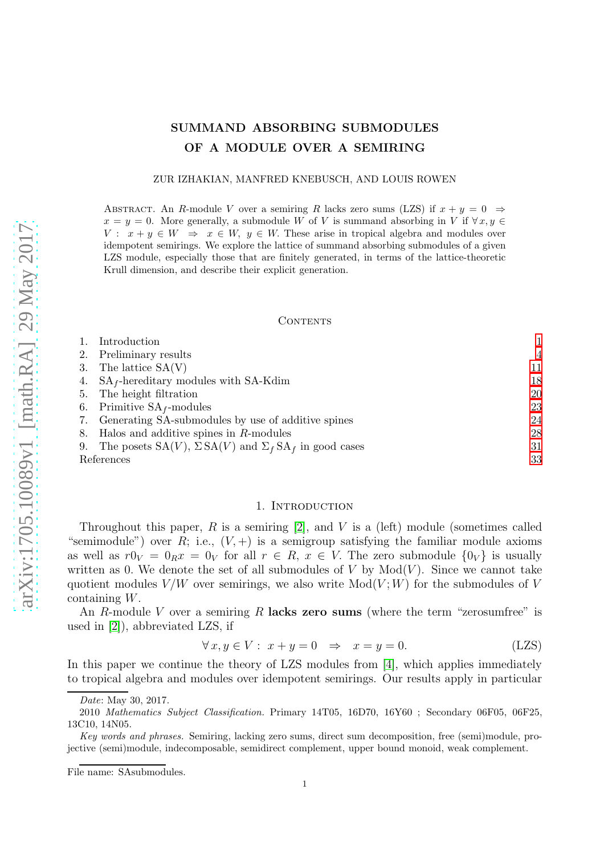# SUMMAND ABSORBING SUBMODULES OF A MODULE OVER A SEMIRING

#### ZUR IZHAKIAN, MANFRED KNEBUSCH, AND LOUIS ROWEN

ABSTRACT. An R-module V over a semiring R lacks zero sums (LZS) if  $x + y = 0 \Rightarrow$  $x = y = 0$ . More generally, a submodule W of V is summand absorbing in V if  $\forall x, y \in$  $V: x + y \in W \Rightarrow x \in W$ ,  $y \in W$ . These arise in tropical algebra and modules over idempotent semirings. We explore the lattice of summand absorbing submodules of a given LZS module, especially those that are finitely generated, in terms of the lattice-theoretic Krull dimension, and describe their explicit generation.

#### CONTENTS

| Introduction                                                                |                |
|-----------------------------------------------------------------------------|----------------|
| 2. Preliminary results                                                      | $\overline{4}$ |
| 3. The lattice $SA(V)$                                                      | 11             |
| 4. $SA_f$ -hereditary modules with SA-Kdim                                  | 18             |
| 5. The height filtration                                                    | 20             |
| 6. Primitive $SA_f$ -modules                                                | 23             |
| 7. Generating SA-submodules by use of additive spines                       | 24             |
| 8. Halos and additive spines in $R$ -modules                                | 28             |
| The posets $SA(V)$ , $\Sigma SA(V)$ and $\Sigma_f SA_f$ in good cases<br>9. | 31             |
| References                                                                  | 33             |
|                                                                             |                |

#### <span id="page-0-1"></span>1. INTRODUCTION

<span id="page-0-0"></span>Throughout this paper,  $R$  is a semiring [\[2\]](#page-32-1), and  $V$  is a (left) module (sometimes called "semimodule") over R; i.e.,  $(V,+)$  is a semigroup satisfying the familiar module axioms as well as  $r0_V = 0_R x = 0_V$  for all  $r \in R$ ,  $x \in V$ . The zero submodule  $\{0_V\}$  is usually written as 0. We denote the set of all submodules of  $V$  by  $Mod(V)$ . Since we cannot take quotient modules  $V/W$  over semirings, we also write  $Mod(V; W)$  for the submodules of V containing W.

An R-module V over a semiring R lacks zero sums (where the term "zerosumfree" is used in [\[2\]](#page-32-1)), abbreviated LZS, if

$$
\forall x, y \in V: x + y = 0 \Rightarrow x = y = 0. \tag{LZS}
$$

In this paper we continue the theory of LZS modules from [\[4\]](#page-32-2), which applies immediately to tropical algebra and modules over idempotent semirings. Our results apply in particular

Date: May 30, 2017.

<sup>2010</sup> Mathematics Subject Classification. Primary 14T05, 16D70, 16Y60 ; Secondary 06F05, 06F25, 13C10, 14N05.

Key words and phrases. Semiring, lacking zero sums, direct sum decomposition, free (semi)module, projective (semi)module, indecomposable, semidirect complement, upper bound monoid, weak complement.

File name: SAsubmodules.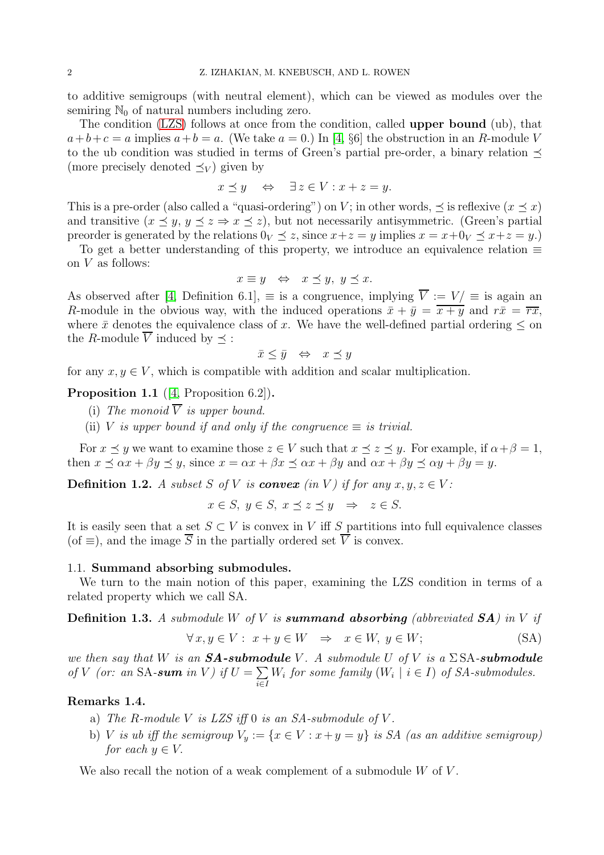to additive semigroups (with neutral element), which can be viewed as modules over the semiring  $\mathbb{N}_0$  of natural numbers including zero.

The condition [\(LZS\)](#page-0-1) follows at once from the condition, called upper bound (ub), that  $a+b+c=a$  implies  $a+b=a$ . (We take  $a=0$ .) In [\[4,](#page-32-2) §6] the obstruction in an R-module V to the ub condition was studied in terms of Green's partial pre-order, a binary relation  $\prec$ (more precisely denoted  $\preceq_V$ ) given by

$$
x \preceq y \quad \Leftrightarrow \quad \exists z \in V : x + z = y.
$$

This is a pre-order (also called a "quasi-ordering") on V; in other words,  $\prec$  is reflexive  $(x \prec x)$ and transitive  $(x \leq y, y \leq z \Rightarrow x \leq z)$ , but not necessarily antisymmetric. (Green's partial preorder is generated by the relations  $0_V \prec z$ , since  $x+z=y$  implies  $x=x+0_V \prec x+z=y$ .)

To get a better understanding of this property, we introduce an equivalence relation  $\equiv$ on  $V$  as follows:

$$
x \equiv y \iff x \preceq y, y \preceq x.
$$

As observed after [\[4,](#page-32-2) Definition 6.1],  $\equiv$  is a congruence, implying  $\overline{V} := V / \equiv$  is again an R-module in the obvious way, with the induced operations  $\overline{x} + \overline{y} = \overline{x + y}$  and  $r\overline{x} = \overline{rx}$ , where  $\bar{x}$  denotes the equivalence class of x. We have the well-defined partial ordering  $\leq$  on the R-module  $\overline{V}$  induced by  $\prec$ :

$$
\bar{x} \le \bar{y} \quad \Leftrightarrow \quad x \preceq y
$$

for any  $x, y \in V$ , which is compatible with addition and scalar multiplication.

Proposition 1.1 ([\[4,](#page-32-2) Proposition 6.2]).

- (i) The monoid  $\overline{V}$  is upper bound.
- (ii) V is upper bound if and only if the congruence  $\equiv$  is trivial.

For  $x \preceq y$  we want to examine those  $z \in V$  such that  $x \preceq z \preceq y$ . For example, if  $\alpha + \beta = 1$ , then  $x \prec \alpha x + \beta y \prec y$ , since  $x = \alpha x + \beta x \prec \alpha x + \beta y$  and  $\alpha x + \beta y \prec \alpha y + \beta y = y$ .

**Definition 1.2.** A subset S of V is **convex** (in V) if for any  $x, y, z \in V$ :

 $x \in S$ ,  $y \in S$ ,  $x \prec z \preceq y \Rightarrow z \in S$ .

It is easily seen that a set  $S \subset V$  is convex in V iff S partitions into full equivalence classes (of  $\equiv$ ), and the image  $\overline{S}$  in the partially ordered set  $\overline{V}$  is convex.

## 1.1. Summand absorbing submodules.

We turn to the main notion of this paper, examining the LZS condition in terms of a related property which we call SA.

**Definition 1.3.** A submodule W of V is **summand absorbing** (abbreviated  $SA$ ) in V if

<span id="page-1-0"></span>
$$
\forall x, y \in V: x + y \in W \Rightarrow x \in W, y \in W;
$$
 (SA)

we then say that W is an  $SA$ -submodule V. A submodule U of V is a  $\Sigma$ SA-submodule of V (or: an SA-sum in V) if  $U = \sum$ i∈I  $W_i$  for some family  $(W_i \mid i \in I)$  of SA-submodules.

## Remarks 1.4.

- a) The R-module V is LZS iff 0 is an SA-submodule of V.
- b) V is ub iff the semigroup  $V_y := \{x \in V : x + y = y\}$  is SA (as an additive semigroup) for each  $y \in V$ .

We also recall the notion of a weak complement of a submodule  $W$  of  $V$ .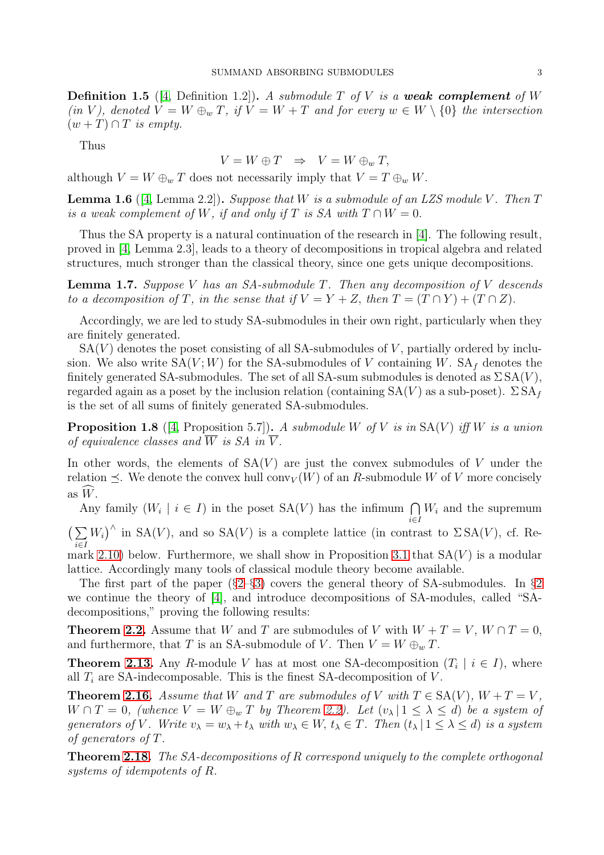<span id="page-2-0"></span>**Definition 1.5** ([\[4,](#page-32-2) Definition 1.2]). A submodule T of V is a **weak complement** of W (in V), denoted  $V = W \oplus_w T$ , if  $V = W + T$  and for every  $w \in W \setminus \{0\}$  the intersection  $(w+T)\cap T$  is empty.

Thus

$$
V = W \oplus T \Rightarrow V = W \oplus_w T,
$$

although  $V = W \oplus_w T$  does not necessarily imply that  $V = T \oplus_w W$ .

<span id="page-2-1"></span>**Lemma 1.6** ([\[4,](#page-32-2) Lemma 2.2]). Suppose that W is a submodule of an LZS module V. Then  $T$ is a weak complement of W, if and only if T is SA with  $T \cap W = 0$ .

Thus the SA property is a natural continuation of the research in [\[4\]](#page-32-2). The following result, proved in [\[4,](#page-32-2) Lemma 2.3], leads to a theory of decompositions in tropical algebra and related structures, much stronger than the classical theory, since one gets unique decompositions.

**Lemma 1.7.** Suppose V has an SA-submodule T. Then any decomposition of V descends to a decomposition of T, in the sense that if  $V = Y + Z$ , then  $T = (T \cap Y) + (T \cap Z)$ .

Accordingly, we are led to study SA-submodules in their own right, particularly when they are finitely generated.

 $SA(V)$  denotes the poset consisting of all SA-submodules of V, partially ordered by inclusion. We also write  $SA(V;W)$  for the SA-submodules of V containing W.  $SA<sub>f</sub>$  denotes the finitely generated SA-submodules. The set of all SA-sum submodules is denoted as  $\Sigma SA(V)$ , regarded again as a poset by the inclusion relation (containing  $SA(V)$  as a sub-poset).  $\Sigma SA_f$ is the set of all sums of finitely generated SA-submodules.

<span id="page-2-2"></span>**Proposition 1.8** ([\[4,](#page-32-2) Proposition 5.7]). A submodule W of V is in  $SA(V)$  iff W is a union of equivalence classes and  $\overline{W}$  is SA in  $\overline{V}$ .

In other words, the elements of  $SA(V)$  are just the convex submodules of V under the relation  $\preceq$ . We denote the convex hull conv<sub>V</sub>(W) of an R-submodule W of V more concisely as  $W$ .

Any family  $(W_i \mid i \in I)$  in the poset  $SA(V)$  has the infimum  $\bigcap W_i$  and the supremum  $(\sum W_i)^{\wedge}$  in SA(V), and so SA(V) is a complete lattice (in contra i∈I  $W_i$ <sup> $\wedge$ </sup> in SA(V), and so SA(V) is a complete lattice (in contrast to  $\Sigma$ SA(V), cf. Re-mark [2.10\)](#page-6-0) below. Furthermore, we shall show in Proposition [3.1](#page-10-1) that  $SA(V)$  is a modular lattice. Accordingly many tools of classical module theory become available.

The first part of the paper  $(\S2-\S3)$  $(\S2-\S3)$  covers the general theory of SA-submodules. In  $\S2$  $\S2$ we continue the theory of [\[4\]](#page-32-2), and introduce decompositions of SA-modules, called "SAdecompositions," proving the following results:

**Theorem [2.2.](#page-4-0)** Assume that W and T are submodules of V with  $W + T = V$ ,  $W \cap T = 0$ , and furthermore, that T is an SA-submodule of V. Then  $V = W \oplus_w T$ .

**Theorem [2.13.](#page-7-0)** Any R-module V has at most one SA-decomposition  $(T_i \mid i \in I)$ , where all  $T_i$  are SA-indecomposable. This is the finest SA-decomposition of V.

**Theorem [2.16.](#page-7-1)** Assume that W and T are submodules of V with  $T \in SA(V)$ ,  $W + T = V$ ,  $W \cap T = 0$ , (whence  $V = W \oplus_w T$  by Theorem [2.2\)](#page-4-0). Let  $(v_\lambda | 1 \leq \lambda \leq d)$  be a system of generators of V. Write  $v_\lambda = w_\lambda + t_\lambda$  with  $w_\lambda \in W$ ,  $t_\lambda \in T$ . Then  $(t_\lambda | 1 \leq \lambda \leq d)$  is a system of generators of T.

Theorem [2.18.](#page-8-0) The SA-decompositions of R correspond uniquely to the complete orthogonal systems of idempotents of R.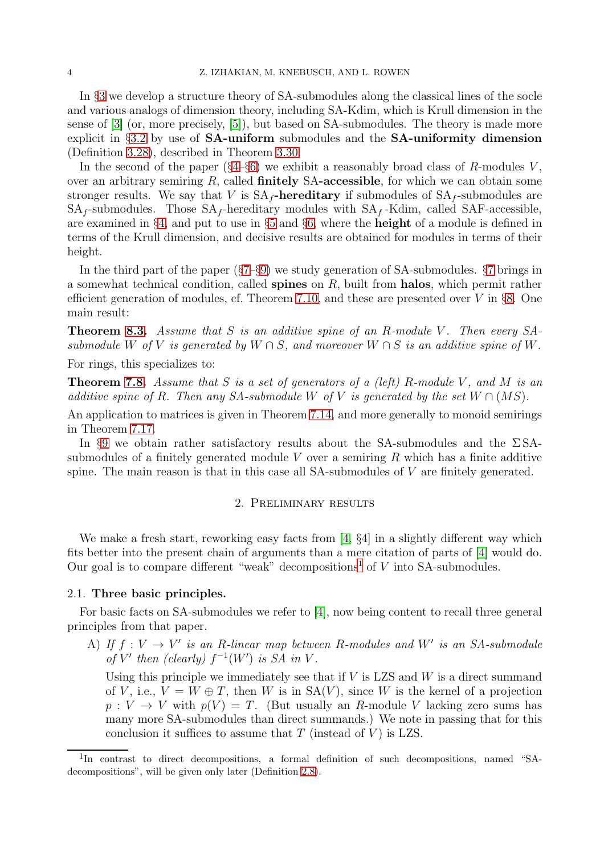In §[3](#page-10-0) we develop a structure theory of SA-submodules along the classical lines of the socle and various analogs of dimension theory, including SA-Kdim, which is Krull dimension in the sense of [\[3\]](#page-32-3) (or, more precisely, [\[5\]](#page-32-4)), but based on SA-submodules. The theory is made more explicit in §[3.2](#page-12-0) by use of SA-uniform submodules and the SA-uniformity dimension (Definition [3.28\)](#page-16-0), described in Theorem [3.30.](#page-16-1)

In the second of the paper  $(\S4-\S6)$  $(\S4-\S6)$  we exhibit a reasonably broad class of R-modules V, over an arbitrary semiring  $R$ , called **finitely SA-accessible**, for which we can obtain some stronger results. We say that V is  $SA_f$ -hereditary if submodules of  $SA_f$ -submodules are  $SA_f$ -submodules. Those  $SA_f$ -hereditary modules with  $SA_f$ -Kdim, called SAF-accessible, are examined in §[4,](#page-17-0) and put to use in §[5](#page-19-0) and §[6,](#page-22-0) where the height of a module is defined in terms of the Krull dimension, and decisive results are obtained for modules in terms of their height.

In the third part of the paper (§[7–](#page-23-0)§[9\)](#page-30-0) we study generation of SA-submodules. §[7](#page-23-0) brings in a somewhat technical condition, called spines on  $R$ , built from halos, which permit rather efficient generation of modules, cf. Theorem [7.10,](#page-25-0) and these are presented over  $V$  in §[8.](#page-27-0) One main result:

**Theorem [8.3.](#page-27-1)** Assume that S is an additive spine of an R-module V. Then every SAsubmodule W of V is generated by  $W \cap S$ , and moreover  $W \cap S$  is an additive spine of W.

For rings, this specializes to:

**Theorem [7.8.](#page-24-0)** Assume that S is a set of generators of a (left) R-module V, and M is an additive spine of R. Then any SA-submodule W of V is generated by the set  $W \cap (MS)$ .

An application to matrices is given in Theorem [7.14,](#page-26-0) and more generally to monoid semirings in Theorem [7.17.](#page-27-2)

<span id="page-3-0"></span>In §[9](#page-30-0) we obtain rather satisfactory results about the SA-submodules and the  $\Sigma$ SAsubmodules of a finitely generated module  $V$  over a semiring  $R$  which has a finite additive spine. The main reason is that in this case all SA-submodules of  $V$  are finitely generated.

# 2. Preliminary results

We make a fresh start, reworking easy facts from [\[4,](#page-32-2)  $\S4$ ] in a slightly different way which fits better into the present chain of arguments than a mere citation of parts of [\[4\]](#page-32-2) would do. Our goal is to compare different "weak" decompositions<sup>[1](#page-3-1)</sup> of  $V$  into SA-submodules.

## 2.1. Three basic principles.

For basic facts on SA-submodules we refer to [\[4\]](#page-32-2), now being content to recall three general principles from that paper.

A) If  $f: V \to V'$  is an R-linear map between R-modules and W' is an SA-submodule of V' then (clearly)  $f^{-1}(W')$  is SA in V.

Using this principle we immediately see that if  $V$  is LZS and  $W$  is a direct summand of V, i.e.,  $V = W \oplus T$ , then W is in  $SA(V)$ , since W is the kernel of a projection  $p: V \to V$  with  $p(V) = T$ . (But usually an R-module V lacking zero sums has many more SA-submodules than direct summands.) We note in passing that for this conclusion it suffices to assume that  $T$  (instead of  $V$ ) is LZS.

<span id="page-3-1"></span><sup>&</sup>lt;sup>1</sup>In contrast to direct decompositions, a formal definition of such decompositions, named "SAdecompositions", will be given only later (Definition [2.8\)](#page-5-0).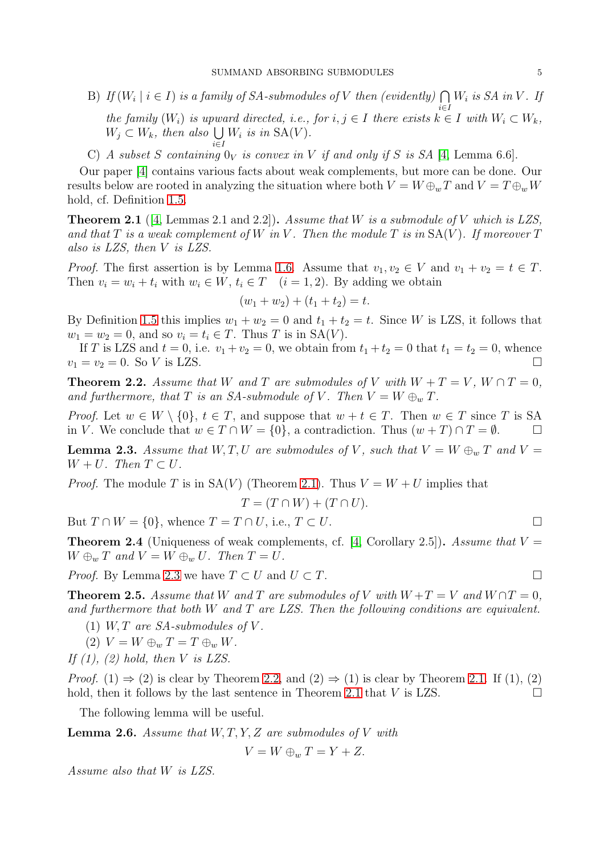- B) If  $(W_i \mid i \in I)$  is a family of SA-submodules of V then (evidently)  $\bigcap W_i$  is SA in V. If i∈I the family  $(W_i)$  is upward directed, i.e., for  $i, j \in I$  there exists  $k \in I$  with  $W_i \subset W_k$ ,  $W_j \subset W_k$ , then also  $\bigcup$  $W_i$  is in  $SA(V)$ .
- i∈I C) A subset S containing  $0_V$  is convex in V if and only if S is SA [\[4,](#page-32-2) Lemma 6.6].

Our paper [\[4\]](#page-32-2) contains various facts about weak complements, but more can be done. Our results below are rooted in analyzing the situation where both  $V = W \oplus_w T$  and  $V = T \oplus_w W$ hold, cf. Definition [1.5.](#page-2-0)

<span id="page-4-1"></span>**Theorem 2.1** ([\[4,](#page-32-2) Lemmas 2.1 and 2.2]). Assume that W is a submodule of V which is LZS, and that  $T$  is a weak complement of  $W$  in  $V$ . Then the module  $T$  is in  $SA(V)$ . If moreover  $T$ also is LZS, then V is LZS.

*Proof.* The first assertion is by Lemma [1.6.](#page-2-1) Assume that  $v_1, v_2 \in V$  and  $v_1 + v_2 = t \in T$ . Then  $v_i = w_i + t_i$  with  $w_i \in W$ ,  $t_i \in T$   $(i = 1, 2)$ . By adding we obtain

$$
(w_1 + w_2) + (t_1 + t_2) = t.
$$

By Definition [1.5](#page-2-0) this implies  $w_1 + w_2 = 0$  and  $t_1 + t_2 = t$ . Since W is LZS, it follows that  $w_1 = w_2 = 0$ , and so  $v_i = t_i \in T$ . Thus T is in  $SA(V)$ .

If T is LZS and  $t = 0$ , i.e.  $v_1 + v_2 = 0$ , we obtain from  $t_1 + t_2 = 0$  that  $t_1 = t_2 = 0$ , whence  $v_1 = v_2 = 0$ . So V is LZS.

<span id="page-4-0"></span>**Theorem 2.2.** Assume that W and T are submodules of V with  $W + T = V$ ,  $W \cap T = 0$ , and furthermore, that T is an SA-submodule of V. Then  $V = W \oplus_w T$ .

*Proof.* Let  $w \in W \setminus \{0\}$ ,  $t \in T$ , and suppose that  $w + t \in T$ . Then  $w \in T$  since T is SA in V. We conclude that  $w \in T \cap W = \{0\}$ , a contradiction. Thus  $(w + T) \cap T = \emptyset$ .

<span id="page-4-2"></span>**Lemma 2.3.** Assume that  $W, T, U$  are submodules of V, such that  $V = W \oplus_w T$  and  $V =$  $W + U$ . Then  $T \subset U$ .

*Proof.* The module T is in  $SA(V)$  (Theorem [2.1\)](#page-4-1). Thus  $V = W + U$  implies that

$$
T = (T \cap W) + (T \cap U).
$$

But  $T \cap W = \{0\}$ , whence  $T = T \cap U$ , i.e.,  $T \subset U$ .

<span id="page-4-5"></span>**Theorem 2.4** (Uniqueness of weak complements, cf. [\[4,](#page-32-2) Corollary 2.5]). Assume that  $V =$  $W \oplus_w T$  and  $V = W \oplus_w U$ . Then  $T = U$ .

*Proof.* By Lemma [2.3](#page-4-2) we have  $T \subset U$  and  $U \subset T$ .

<span id="page-4-3"></span>**Theorem 2.5.** Assume that W and T are submodules of V with  $W + T = V$  and  $W \cap T = 0$ , and furthermore that both W and T are LZS. Then the following conditions are equivalent.

- (1) W, T are  $SA$ -submodules of V.
- (2)  $V = W \oplus_w T = T \oplus_w W$ .
- If  $(1)$ ,  $(2)$  hold, then V is LZS.

*Proof.* (1)  $\Rightarrow$  (2) is clear by Theorem [2.2,](#page-4-0) and (2)  $\Rightarrow$  (1) is clear by Theorem [2.1.](#page-4-1) If (1), (2) hold, then it follows by the last sentence in Theorem [2.1](#page-4-1) that  $V$  is LZS.

The following lemma will be useful.

<span id="page-4-4"></span>**Lemma 2.6.** Assume that  $W, T, Y, Z$  are submodules of V with

$$
V = W \oplus_w T = Y + Z.
$$

Assume also that W is LZS.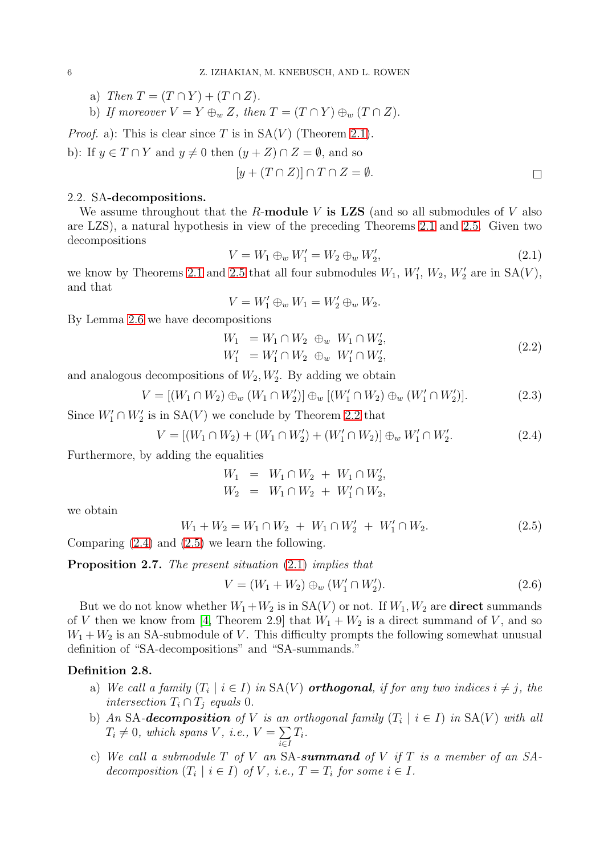- a) Then  $T = (T \cap Y) + (T \cap Z)$ .
- b) If moreover  $V = Y \oplus_w Z$ , then  $T = (T \cap Y) \oplus_w (T \cap Z)$ .

*Proof.* a): This is clear since T is in  $SA(V)$  (Theorem [2.1\)](#page-4-1). b): If  $y \in T \cap Y$  and  $y \neq 0$  then  $(y + Z) \cap Z = \emptyset$ , and so

$$
[y + (T \cap Z)] \cap T \cap Z = \emptyset.
$$

## 2.2. SA-decompositions.

We assume throughout that the R-module V is LZS (and so all submodules of V also are LZS), a natural hypothesis in view of the preceding Theorems [2.1](#page-4-1) and [2.5.](#page-4-3) Given two decompositions

<span id="page-5-3"></span>
$$
V = W_1 \oplus_w W_1' = W_2 \oplus_w W_2', \tag{2.1}
$$

we know by Theorems [2.1](#page-4-1) and [2.5](#page-4-3) that all four submodules  $W_1$ ,  $W'_1$ ,  $W_2$ ,  $W'_2$  are in  $SA(V)$ , and that

$$
V = W_1' \oplus_w W_1 = W_2' \oplus_w W_2.
$$

By Lemma [2.6](#page-4-4) we have decompositions

$$
W_1 = W_1 \cap W_2 \oplus_w W_1 \cap W'_2,
$$
  
\n
$$
W'_1 = W'_1 \cap W_2 \oplus_w W'_1 \cap W'_2,
$$
\n(2.2)

and analogous decompositions of  $W_2, W'_2$ . By adding we obtain

$$
V = [(W_1 \cap W_2) \oplus_w (W_1 \cap W_2')] \oplus_w [(W_1' \cap W_2) \oplus_w (W_1' \cap W_2')].
$$
\n(2.3)

Since  $W'_1 \cap W'_2$  is in  $SA(V)$  we conclude by Theorem [2.2](#page-4-0) that

<span id="page-5-1"></span>
$$
V = [(W_1 \cap W_2) + (W_1 \cap W_2') + (W_1' \cap W_2)] \oplus_w W_1' \cap W_2'.
$$
 (2.4)

Furthermore, by adding the equalities

$$
W_1 = W_1 \cap W_2 + W_1 \cap W'_2,
$$
  

$$
W_2 = W_1 \cap W_2 + W'_1 \cap W_2,
$$

we obtain

<span id="page-5-2"></span>
$$
W_1 + W_2 = W_1 \cap W_2 + W_1 \cap W_2' + W_1' \cap W_2.
$$
\n(2.5)

Comparing [\(2.4\)](#page-5-1) and [\(2.5\)](#page-5-2) we learn the following.

Proposition 2.7. The present situation  $(2.1)$  implies that

$$
V = (W_1 + W_2) \oplus_w (W'_1 \cap W'_2). \tag{2.6}
$$

But we do not know whether  $W_1+W_2$  is in  $SA(V)$  or not. If  $W_1, W_2$  are **direct** summands of V then we know from [\[4,](#page-32-2) Theorem 2.9] that  $W_1 + W_2$  is a direct summand of V, and so  $W_1 + W_2$  is an SA-submodule of V. This difficulty prompts the following somewhat unusual definition of "SA-decompositions" and "SA-summands."

## <span id="page-5-0"></span>Definition 2.8.

- a) We call a family  $(T_i \mid i \in I)$  in  $SA(V)$  orthogonal, if for any two indices  $i \neq j$ , the intersection  $T_i \cap T_j$  equals 0.
- b) An SA-**decomposition** of V is an orthogonal family  $(T_i | i \in I)$  in  $SA(V)$  with all  $T_i \neq 0$ , which spans V, i.e.,  $V = \sum$ i∈I  $T_i.$
- c) We call a submodule  $T$  of  $V$  an SA-summand of  $V$  if  $T$  is a member of an SAdecomposition  $(T_i \mid i \in I)$  of V, i.e.,  $T = T_i$  for some  $i \in I$ .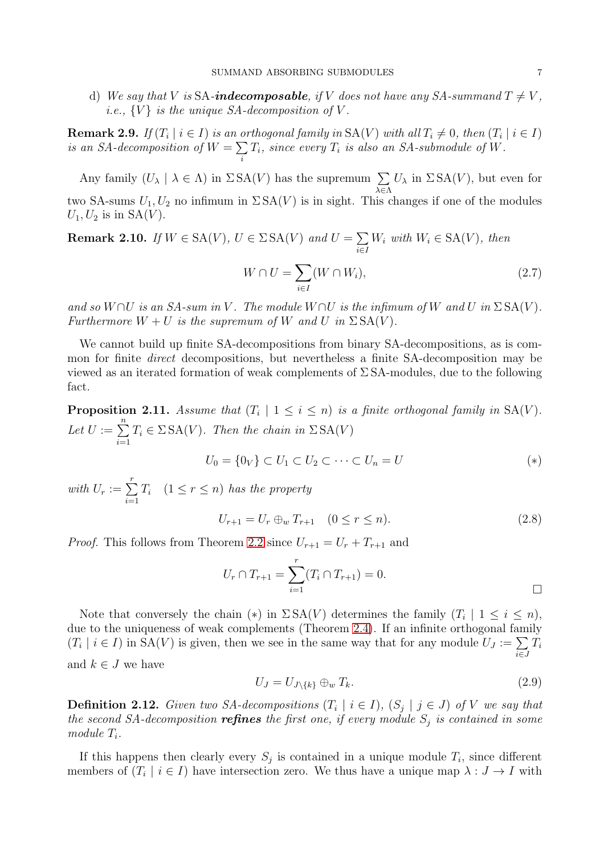d) We say that V is SA-**indecomposable**, if V does not have any SA-summand  $T \neq V$ , *i.e.*,  $\{V\}$  *is the unique SA-decomposition of V.* 

**Remark 2.9.** If  $(T_i | i \in I)$  is an orthogonal family in  $SA(V)$  with all  $T_i \neq 0$ , then  $(T_i | i \in I)$ is an SA-decomposition of  $W = \sum$ i  $T_i$ , since every  $T_i$  is also an SA-submodule of W.

Any family  $(U_\lambda \mid \lambda \in \Lambda)$  in  $\Sigma \, SA(V)$  has the supremum  $\Sigma$ λ∈Λ  $U_{\lambda}$  in  $\Sigma$  SA(V), but even for two SA-sums  $U_1, U_2$  no infimum in  $\Sigma$  SA(V) is in sight. This changes if one of the modules  $U_1, U_2$  is in  $SA(V)$ .

<span id="page-6-0"></span>Remark 2.10. If  $W \in SA(V)$ ,  $U \in \Sigma SA(V)$  and  $U = \sum$ i∈I  $W_i$  with  $W_i \in SA(V)$ , then

$$
W \cap U = \sum_{i \in I} (W \cap W_i), \tag{2.7}
$$

and so  $W \cap U$  is an SA-sum in V. The module  $W \cap U$  is the infimum of W and U in  $\Sigma$  SA(V). Furthermore  $W + U$  is the supremum of W and U in  $\Sigma S A(V)$ .

We cannot build up finite SA-decompositions from binary SA-decompositions, as is common for finite direct decompositions, but nevertheless a finite SA-decomposition may be viewed as an iterated formation of weak complements of  $\Sigma$  SA-modules, due to the following fact.

**Proposition 2.11.** Assume that  $(T_i \mid 1 \leq i \leq n)$  is a finite orthogonal family in  $SA(V)$ . Let  $U := \sum_{n=1}^{n}$  $i=1$  $T_i \in \Sigma \, \text{SA}(V)$ . Then the chain in  $\Sigma \, \text{SA}(V)$ 

$$
U_0 = \{0_V\} \subset U_1 \subset U_2 \subset \cdots \subset U_n = U \tag{*}
$$

with  $U_r := \sum^r$  $i=1$  $T_i$   $(1 \leq r \leq n)$  has the property

$$
U_{r+1} = U_r \oplus_w T_{r+1} \quad (0 \le r \le n). \tag{2.8}
$$

*Proof.* This follows from Theorem [2.2](#page-4-0) since  $U_{r+1} = U_r + T_{r+1}$  and

$$
U_r \cap T_{r+1} = \sum_{i=1}^r (T_i \cap T_{r+1}) = 0.
$$

Note that conversely the chain (\*) in  $\Sigma S A(V)$  determines the family  $(T_i \mid 1 \leq i \leq n)$ , due to the uniqueness of weak complements (Theorem [2.4\)](#page-4-5). If an infinite orthogonal family  $(T_i \mid i \in I)$  in  $SA(V)$  is given, then we see in the same way that for any module  $U_J := \sum$ i∈J  $T_i$ and  $k \in J$  we have

$$
U_J = U_{J \setminus \{k\}} \oplus_w T_k. \tag{2.9}
$$

**Definition 2.12.** Given two SA-decompositions  $(T_i | i \in I)$ ,  $(S_j | j \in J)$  of V we say that the second SA-decomposition **refines** the first one, if every module  $S_j$  is contained in some module  $T_i$ .

If this happens then clearly every  $S_j$  is contained in a unique module  $T_i$ , since different members of  $(T_i \mid i \in I)$  have intersection zero. We thus have a unique map  $\lambda: J \to I$  with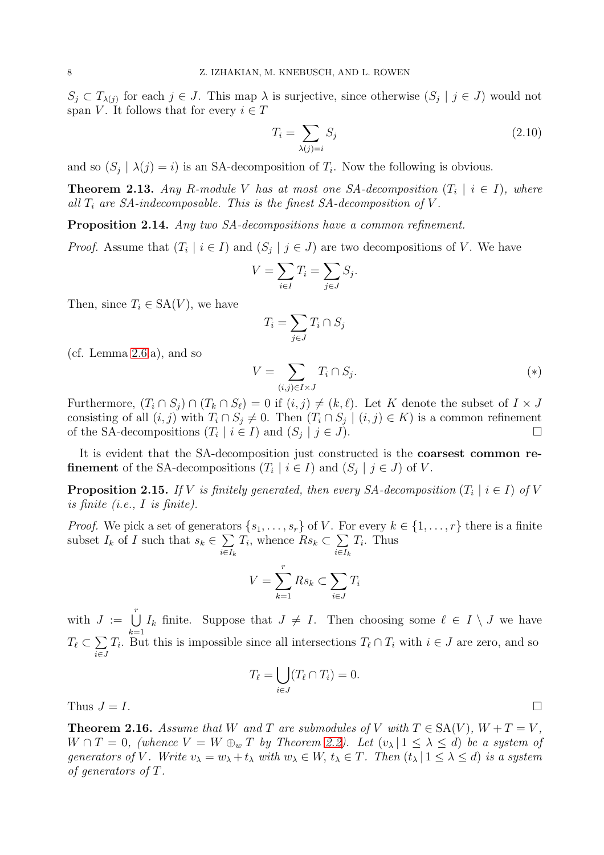$S_j \subset T_{\lambda(j)}$  for each  $j \in J$ . This map  $\lambda$  is surjective, since otherwise  $(S_j | j \in J)$  would not span V. It follows that for every  $i \in T$ 

$$
T_i = \sum_{\lambda(j)=i} S_j \tag{2.10}
$$

and so  $(S_j | \lambda(j) = i)$  is an SA-decomposition of  $T_i$ . Now the following is obvious.

<span id="page-7-0"></span>**Theorem 2.13.** Any R-module V has at most one SA-decomposition  $(T_i | i \in I)$ , where all  $T_i$  are SA-indecomposable. This is the finest SA-decomposition of  $V$ .

Proposition 2.14. Any two SA-decompositions have a common refinement.

*Proof.* Assume that  $(T_i \mid i \in I)$  and  $(S_j \mid j \in J)$  are two decompositions of V. We have

$$
V = \sum_{i \in I} T_i = \sum_{j \in J} S_j.
$$

Then, since  $T_i \in SA(V)$ , we have

$$
T_i = \sum_{j \in J} T_i \cap S_j
$$

(cf. Lemma [2.6.](#page-4-4)a), and so

$$
V = \sum_{(i,j)\in I\times J} T_i \cap S_j. \tag{*}
$$

Furthermore,  $(T_i \cap S_j) \cap (T_k \cap S_\ell) = 0$  if  $(i, j) \neq (k, \ell)$ . Let K denote the subset of  $I \times J$ consisting of all  $(i, j)$  with  $T_i \cap S_j \neq 0$ . Then  $(T_i \cap S_j \mid (i, j) \in K)$  is a common refinement of the SA-decompositions  $(T_i | i \in I)$  and  $(S_j | j \in J)$ .

It is evident that the SA-decomposition just constructed is the coarsest common re**finement** of the SA-decompositions  $(T_i | i \in I)$  and  $(S_j | j \in J)$  of V.

<span id="page-7-2"></span>**Proposition 2.15.** If V is finitely generated, then every SA-decomposition  $(T_i \mid i \in I)$  of V is finite (i.e., I is finite).

*Proof.* We pick a set of generators  $\{s_1, \ldots, s_r\}$  of V. For every  $k \in \{1, \ldots, r\}$  there is a finite subset  $I_k$  of I such that  $s_k \in \sum$  $i \in I_k$  $T_i$ , whence  $Rs_k \subset \sum$  $i \in I_k$  $T_i$ . Thus

$$
V = \sum_{k=1}^{r} R s_k \subset \sum_{i \in J} T_i
$$

with  $J := \bigcup^{r}$  $k=1$  $I_k$  finite. Suppose that  $J \neq I$ . Then choosing some  $\ell \in I \setminus J$  we have  $T_{\ell} \subset \sum$ i∈J  $T_i$ . But this is impossible since all intersections  $T_\ell \cap T_i$  with  $i \in J$  are zero, and so

$$
T_{\ell} = \bigcup_{i \in J} (T_{\ell} \cap T_i) = 0.
$$

Thus  $J = I$ .

<span id="page-7-1"></span>**Theorem 2.16.** Assume that W and T are submodules of V with  $T \in SA(V)$ ,  $W + T = V$ .  $W \cap T = 0$ , (whence  $V = W \oplus_w T$  by Theorem [2.2\)](#page-4-0). Let  $(v_\lambda | 1 \leq \lambda \leq d)$  be a system of generators of V. Write  $v_{\lambda} = w_{\lambda} + t_{\lambda}$  with  $w_{\lambda} \in W$ ,  $t_{\lambda} \in T$ . Then  $(t_{\lambda} | 1 \leq \lambda \leq d)$  is a system of generators of T.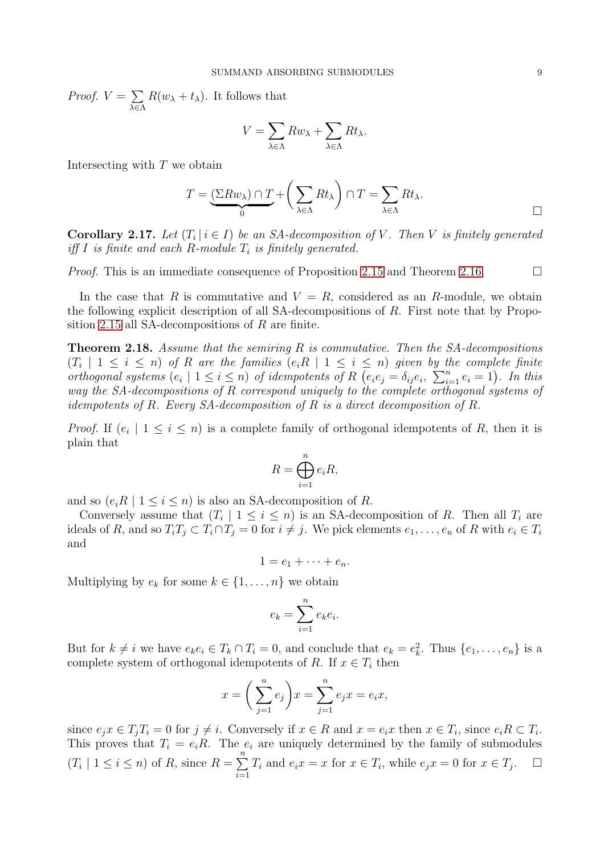Proof.  $V = \sum$ λ∈Λ  $R(w_{\lambda} + t_{\lambda})$ . It follows that

$$
V = \sum_{\lambda \in \Lambda} R w_{\lambda} + \sum_{\lambda \in \Lambda} R t_{\lambda}.
$$

Intersecting with  $T$  we obtain

$$
T = \underbrace{(\Sigma R w_{\lambda}) \cap T}_{0} + \left(\sum_{\lambda \in \Lambda} R t_{\lambda}\right) \cap T = \sum_{\lambda \in \Lambda} R t_{\lambda}.
$$

**Corollary 2.17.** Let  $(T_i | i \in I)$  be an SA-decomposition of V. Then V is finitely generated iff I is finite and each R-module  $T_i$  is finitely generated.

*Proof.* This is an immediate consequence of Proposition [2.15](#page-7-2) and Theorem [2.16.](#page-7-1)  $\Box$ 

In the case that R is commutative and  $V = R$ , considered as an R-module, we obtain the following explicit description of all SA-decompositions of R. First note that by Propo-sition [2.15](#page-7-2) all SA-decompositions of  $R$  are finite.

<span id="page-8-0"></span>**Theorem 2.18.** Assume that the semiring  $R$  is commutative. Then the  $SA$ -decompositions  $(T_i \mid 1 \leq i \leq n)$  of R are the families  $(e_i R \mid 1 \leq i \leq n)$  given by the complete finite orthogonal systems  $(e_i \mid 1 \leq i \leq n)$  of idempotents of R  $(e_i e_j = \delta_{ij} e_i, \sum_{i=1}^n e_i = 1)$ . In this way the SA-decompositions of R correspond uniquely to the complete orthogonal systems of idempotents of R. Every SA-decomposition of R is a direct decomposition of R.

*Proof.* If  $(e_i \mid 1 \leq i \leq n)$  is a complete family of orthogonal idempotents of R, then it is plain that

$$
R = \bigoplus_{i=1}^{n} e_i R,
$$

and so  $(e_i R \mid 1 \leq i \leq n)$  is also an SA-decomposition of R.

Conversely assume that  $(T_i \mid 1 \leq i \leq n)$  is an SA-decomposition of R. Then all  $T_i$  are ideals of R, and so  $T_iT_j \subset T_i \cap T_j = 0$  for  $i \neq j$ . We pick elements  $e_1, \ldots, e_n$  of R with  $e_i \in T_i$ and

 $1 = e_1 + \cdots + e_n$ .

Multiplying by  $e_k$  for some  $k \in \{1, \ldots, n\}$  we obtain

$$
e_k = \sum_{i=1}^n e_k e_i.
$$

But for  $k \neq i$  we have  $e_k e_i \in T_k \cap T_i = 0$ , and conclude that  $e_k = e_k^2$ . Thus  $\{e_1, \ldots, e_n\}$  is a complete system of orthogonal idempotents of R. If  $x \in T_i$  then

$$
x = \left(\sum_{j=1}^{n} e_j\right) x = \sum_{j=1}^{n} e_j x = e_i x,
$$

since  $e_j x \in T_j T_i = 0$  for  $j \neq i$ . Conversely if  $x \in R$  and  $x = e_i x$  then  $x \in T_i$ , since  $e_i R \subset T_i$ . This proves that  $T_i = e_iR$ . The  $e_i$  are uniquely determined by the family of submodules  $(T_i \mid 1 \leq i \leq n)$  of R, since  $R = \sum_{i=1}^{n}$  $i=1$  $T_i$  and  $e_i x = x$  for  $x \in T_i$ , while  $e_j x = 0$  for  $x \in T_j$ .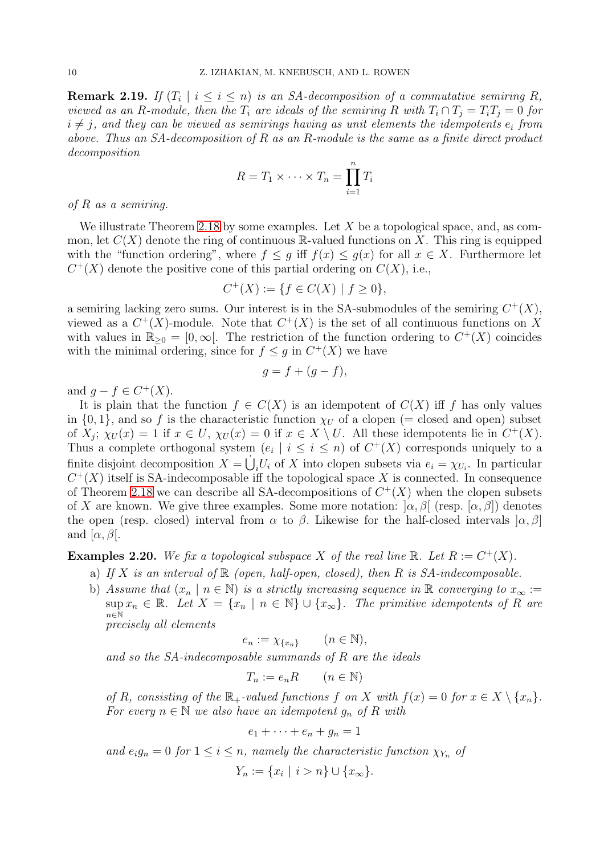**Remark 2.19.** If  $(T_i \mid i \leq i \leq n)$  is an SA-decomposition of a commutative semiring R, viewed as an R-module, then the  $T_i$  are ideals of the semiring R with  $T_i \cap T_j = T_iT_j = 0$  for  $i\neq j$ , and they can be viewed as semirings having as unit elements the idempotents  $e_i$  from above. Thus an SA-decomposition of R as an R-module is the same as a finite direct product decomposition

$$
R = T_1 \times \cdots \times T_n = \prod_{i=1}^n T_i
$$

of R as a semiring.

We illustrate Theorem [2.18](#page-8-0) by some examples. Let X be a topological space, and, as common, let  $C(X)$  denote the ring of continuous R-valued functions on X. This ring is equipped with the "function ordering", where  $f \leq g$  iff  $f(x) \leq g(x)$  for all  $x \in X$ . Furthermore let  $C^+(X)$  denote the positive cone of this partial ordering on  $C(X)$ , i.e.,

$$
C^+(X) := \{ f \in C(X) \mid f \ge 0 \},\
$$

a semiring lacking zero sums. Our interest is in the SA-submodules of the semiring  $C^+(X)$ , viewed as a  $C^+(X)$ -module. Note that  $C^+(X)$  is the set of all continuous functions on X with values in  $\mathbb{R}_{\geq 0} = [0, \infty[$ . The restriction of the function ordering to  $C^+(X)$  coincides with the minimal ordering, since for  $f \leq g$  in  $C^+(X)$  we have

$$
g = f + (g - f),
$$

and  $g - f \in C^+(X)$ .

It is plain that the function  $f \in C(X)$  is an idempotent of  $C(X)$  iff f has only values in  $\{0,1\}$ , and so f is the characteristic function  $\chi_U$  of a clopen (= closed and open) subset of  $X_j$ ;  $\chi_U(x) = 1$  if  $x \in U$ ,  $\chi_U(x) = 0$  if  $x \in X \setminus U$ . All these idempotents lie in  $C^+(X)$ . Thus a complete orthogonal system  $(e_i \mid i \leq i \leq n)$  of  $C^+(X)$  corresponds uniquely to a finite disjoint decomposition  $X = \dot{\bigcup}_i U_i$  of X into clopen subsets via  $e_i = \chi_{U_i}$ . In particular  $C^+(X)$  itself is SA-indecomposable iff the topological space X is connected. In consequence of Theorem [2.18](#page-8-0) we can describe all SA-decompositions of  $C^+(X)$  when the clopen subsets of X are known. We give three examples. Some more notation:  $\alpha$ ,  $\beta$  (resp.  $\alpha$ ,  $\beta$ ) denotes the open (resp. closed) interval from  $\alpha$  to  $\beta$ . Likewise for the half-closed intervals  $\alpha, \beta$ ] and  $[\alpha, \beta]$ .

**Examples 2.20.** We fix a topological subspace X of the real line  $\mathbb{R}$ . Let  $R := C^+(X)$ .

- a) If X is an interval of  $\mathbb R$  (open, half-open, closed), then R is SA-indecomposable.
- b) Assume that  $(x_n | n \in \mathbb{N})$  is a strictly increasing sequence in R converging to  $x_\infty :=$  $\sup x_n \in \mathbb{R}$ . Let  $X = \{x_n \mid n \in \mathbb{N}\} \cup \{x_\infty\}$ . The primitive idempotents of R are  $n\bar{\in}\mathbb{N}$ precisely all elements

$$
e_n := \chi_{\{x_n\}} \qquad (n \in \mathbb{N}),
$$

and so the SA-indecomposable summands of R are the ideals

$$
T_n := e_n R \qquad (n \in \mathbb{N})
$$

of R, consisting of the  $\mathbb{R}_+$ -valued functions f on X with  $f(x) = 0$  for  $x \in X \setminus \{x_n\}$ . For every  $n \in \mathbb{N}$  we also have an idempotent  $g_n$  of R with

$$
e_1 + \cdots + e_n + g_n = 1
$$

and  $e_i g_n = 0$  for  $1 \leq i \leq n$ , namely the characteristic function  $\chi_{Y_n}$  of

$$
Y_n := \{x_i \mid i > n\} \cup \{x_\infty\}.
$$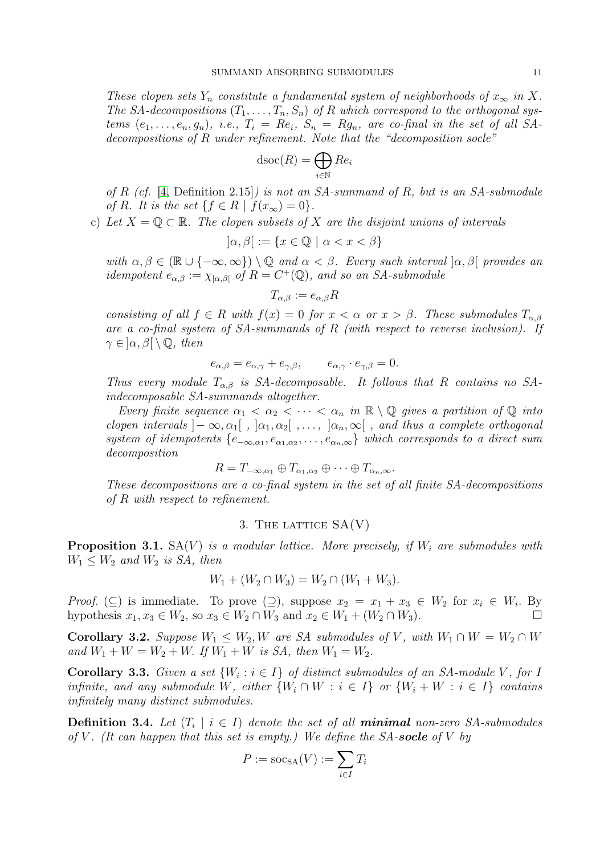These clopen sets Y<sub>n</sub> constitute a fundamental system of neighborhoods of  $x_{\infty}$  in X. The SA-decompositions  $(T_1, \ldots, T_n, S_n)$  of R which correspond to the orthogonal systems  $(e_1,\ldots,e_n,g_n)$ , i.e.,  $T_i = Re_i$ ,  $S_n = Rg_n$ , are co-final in the set of all SAdecompositions of R under refinement. Note that the "decomposition socle"

$$
\operatorname{dsoc}(R) = \bigoplus_{i \in \mathbb{N}} Re_i
$$

of R (cf. [\[4,](#page-32-2) Definition 2.15]) is not an SA-summand of R, but is an SA-submodule of R. It is the set  $\{f \in R \mid f(x_\infty) = 0\}.$ 

c) Let  $X = \mathbb{Q} \subset \mathbb{R}$ . The clopen subsets of X are the disjoint unions of intervals

 $[\alpha, \beta] := \{x \in \mathbb{Q} \mid \alpha < x < \beta\}$ 

with  $\alpha, \beta \in (\mathbb{R} \cup \{-\infty, \infty\}) \setminus \mathbb{Q}$  and  $\alpha < \beta$ . Every such interval  $[\alpha, \beta]$  provides an idempotent  $e_{\alpha,\beta} := \chi_{\alpha,\beta}$  of  $R = C^+(\mathbb{Q})$ , and so an SA-submodule

$$
T_{\alpha,\beta} := e_{\alpha,\beta} R
$$

consisting of all  $f \in R$  with  $f(x) = 0$  for  $x < \alpha$  or  $x > \beta$ . These submodules  $T_{\alpha,\beta}$ are a co-final system of  $SA\text{-}summands$  of  $R$  (with respect to reverse inclusion). If  $\gamma \in ]\alpha, \beta[ \setminus \mathbb{Q}, \text{ then}$ 

$$
e_{\alpha,\beta} = e_{\alpha,\gamma} + e_{\gamma,\beta}, \qquad e_{\alpha,\gamma} \cdot e_{\gamma,\beta} = 0.
$$

Thus every module  $T_{\alpha,\beta}$  is SA-decomposable. It follows that R contains no SAindecomposable SA-summands altogether.

Every finite sequence  $\alpha_1 < \alpha_2 < \cdots < \alpha_n$  in  $\mathbb{R} \setminus \mathbb{Q}$  gives a partition of  $\mathbb{Q}$  into clopen intervals  $]-\infty,\alpha_1[$ ,  $]\alpha_1,\alpha_2[$ ,...,  $]\alpha_n,\infty[$ , and thus a complete orthogonal system of idempotents  $\{e_{-\infty,\alpha_1},e_{\alpha_1,\alpha_2},\ldots,e_{\alpha_n,\infty}\}\$  which corresponds to a direct sum decomposition

$$
R = T_{-\infty,\alpha_1} \oplus T_{\alpha_1,\alpha_2} \oplus \cdots \oplus T_{\alpha_n,\infty}.
$$

These decompositions are a co-final system in the set of all finite SA-decompositions of R with respect to refinement.

## 3. THE LATTICE  $SA(V)$

<span id="page-10-1"></span><span id="page-10-0"></span>**Proposition 3.1.**  $SA(V)$  is a modular lattice. More precisely, if  $W_i$  are submodules with  $W_1 \leq W_2$  and  $W_2$  is SA, then

$$
W_1 + (W_2 \cap W_3) = W_2 \cap (W_1 + W_3).
$$

*Proof.* ( $\subseteq$ ) is immediate. To prove  $(\supseteq)$ , suppose  $x_2 = x_1 + x_3 \in W_2$  for  $x_i \in W_i$ . By hypothesis  $x_1, x_3 \in W_2$ , so  $x_3 \in W_2 \cap W_3$  and  $x_2 \in W_1 + (W_2 \cap W_3)$ .

Corollary 3.2. Suppose  $W_1 \leq W_2, W$  are SA submodules of V, with  $W_1 \cap W = W_2 \cap W$ and  $W_1 + W = W_2 + W$ . If  $W_1 + W$  is SA, then  $W_1 = W_2$ .

**Corollary 3.3.** Given a set  $\{W_i : i \in I\}$  of distinct submodules of an SA-module V, for I infinite, and any submodule W, either  $\{W_i \cap W : i \in I\}$  or  $\{W_i + W : i \in I\}$  contains infinitely many distinct submodules.

<span id="page-10-2"></span>**Definition 3.4.** Let  $(T_i \mid i \in I)$  denote the set of all **minimal** non-zero SA-submodules of V. (It can happen that this set is empty.) We define the  $SA\text{-}socle$  of V by

$$
P := \mathrm{soc}_{\mathrm{SA}}(V) := \sum_{i \in I} T_i
$$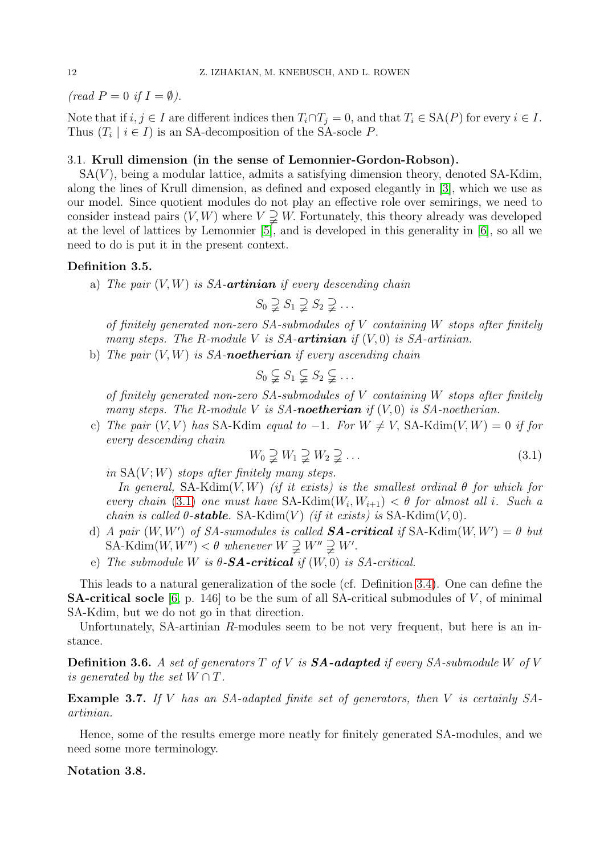(read  $P = 0$  if  $I = \emptyset$ ).

Note that if  $i, j \in I$  are different indices then  $T_i \cap T_j = 0$ , and that  $T_i \in SA(P)$  for every  $i \in I$ . Thus  $(T_i \mid i \in I)$  is an SA-decomposition of the SA-socle P.

## 3.1. Krull dimension (in the sense of Lemonnier-Gordon-Robson).

 $SA(V)$ , being a modular lattice, admits a satisfying dimension theory, denoted SA-Kdim, along the lines of Krull dimension, as defined and exposed elegantly in [\[3\]](#page-32-3), which we use as our model. Since quotient modules do not play an effective role over semirings, we need to consider instead pairs  $(V, W)$  where  $V \supsetneq W$ . Fortunately, this theory already was developed at the level of lattices by Lemonnier [\[5\]](#page-32-4), and is developed in this generality in [\[6\]](#page-32-5), so all we need to do is put it in the present context.

## <span id="page-11-1"></span>Definition 3.5.

a) The pair  $(V, W)$  is SA-**artinian** if every descending chain

$$
S_0 \supsetneq S_1 \supsetneq S_2 \supsetneq \ldots
$$

of finitely generated non-zero  $SA$ -submodules of V containing W stops after finitely many steps. The R-module V is SA-**artinian** if  $(V, 0)$  is SA-artinian.

b) The pair  $(V, W)$  is SA-noetherian if every ascending chain

$$
S_0 \subsetneq S_1 \subsetneq S_2 \subsetneq \ldots
$$

of finitely generated non-zero  $SA$ -submodules of  $V$  containing  $W$  stops after finitely many steps. The R-module V is SA-**noetherian** if  $(V, 0)$  is SA-noetherian.

c) The pair  $(V, V)$  has SA-Kdim equal to -1. For  $W \neq V$ , SA-Kdim $(V, W) = 0$  if for every descending chain

<span id="page-11-0"></span>
$$
W_0 \supsetneq W_1 \supsetneq W_2 \supsetneq \dots \tag{3.1}
$$

in  $SA(V;W)$  stops after finitely many steps.

In general, SA-Kdim $(V, W)$  (if it exists) is the smallest ordinal  $\theta$  for which for every chain [\(3.1\)](#page-11-0) one must have  $SA-Kdim(W_i, W_{i+1}) < \theta$  for almost all i. Such a chain is called  $\theta$ -stable. SA-Kdim(V) (if it exists) is SA-Kdim(V, 0).

- d) A pair  $(W, W')$  of SA-sumodules is called **SA-critical** if SA-Kdim $(W, W') = \theta$  but  $SA-Kdim(W, W'') < \theta$  whenever  $W \supsetneq W'' \supsetneq W'$ .
- e) The submodule W is  $\theta$ -**SA-critical** if  $(W, 0)$  is SA-critical.

This leads to a natural generalization of the socle (cf. Definition [3.4\)](#page-10-2). One can define the **SA-critical socle** [\[6,](#page-32-5) p. 146] to be the sum of all SA-critical submodules of  $V$ , of minimal SA-Kdim, but we do not go in that direction.

Unfortunately, SA-artinian R-modules seem to be not very frequent, but here is an instance.

<span id="page-11-3"></span>**Definition 3.6.** A set of generators  $T$  of  $V$  is  $SA$ -adapted if every  $SA$ -submodule  $W$  of  $V$ is generated by the set  $W \cap T$ .

Example 3.7. If V has an SA-adapted finite set of generators, then V is certainly SAartinian.

Hence, some of the results emerge more neatly for finitely generated SA-modules, and we need some more terminology.

## <span id="page-11-2"></span>Notation 3.8.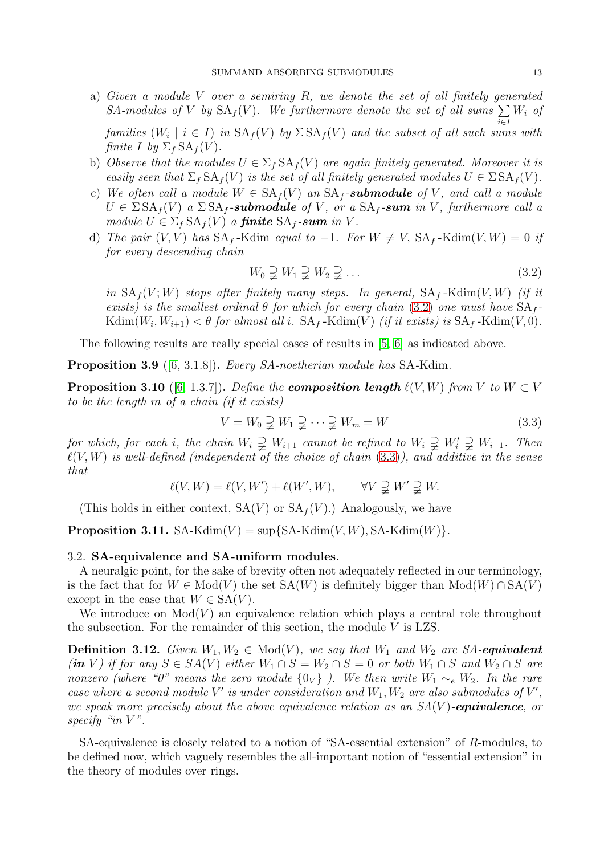- a) Given a module V over a semiring R, we denote the set of all finitely generated SA-modules of V by  $SA_f(V)$ . We furthermore denote the set of all sums  $\sum$ i∈I  $W_i$  of families  $(W_i \mid i \in I)$  in  $SA_f(V)$  by  $\Sigma SA_f(V)$  and the subset of all such sums with finite I by  $\Sigma_f$  SA<sub>f</sub>(V).
- b) Observe that the modules  $U \in \Sigma_f \, SA_f(V)$  are again finitely generated. Moreover it is easily seen that  $\Sigma_f$  SA $_f(V)$  is the set of all finitely generated modules  $U \in \Sigma S A_f(V)$ .
- c) We often call a module  $W \in SA_f(V)$  an  $SA_f$ -submodule of V, and call a module  $U \in \Sigma S A_f(V)$  a  $\Sigma S A_f$ -submodule of V, or a  $S A_f$ -sum in V, furthermore call a module  $U \in \Sigma_f \, \text{SA}_f(V)$  a **finite**  $\text{SA}_f$ -sum in V.
- d) The pair  $(V, V)$  has  $SA_f$ -Kdim equal to -1. For  $W \neq V$ ,  $SA_f$ -Kdim $(V, W) = 0$  if for every descending chain

<span id="page-12-1"></span>
$$
W_0 \supsetneq W_1 \supsetneq W_2 \supsetneq \dots \tag{3.2}
$$

in  $SA_f(V;W)$  stops after finitely many steps. In general,  $SA_f$ -Kdim $(V,W)$  (if it exists) is the smallest ordinal  $\theta$  for which for every chain [\(3.2\)](#page-12-1) one must have  $SA_f$ - $\operatorname{Kdim}(W_{i}, W_{i+1}) < \theta$  for almost all i.  $\operatorname{SA}_f$ -Kdim $(V)$  (if it exists) is  $\operatorname{SA}_f$ -Kdim $(V, 0)$ .

The following results are really special cases of results in [\[5,](#page-32-4) [6\]](#page-32-5) as indicated above.

Proposition 3.9 ([\[6,](#page-32-5) 3.1.8]). Every SA-noetherian module has SA-Kdim.

**Proposition 3.10** ([\[6,](#page-32-5) 1.3.7]). Define the **composition length**  $\ell(V, W)$  from V to  $W \subset V$ to be the length m of a chain (if it exists)

<span id="page-12-2"></span>
$$
V = W_0 \supsetneq W_1 \supsetneq \cdots \supsetneq W_m = W \tag{3.3}
$$

for which, for each i, the chain  $W_i \supsetneq W_{i+1}$  cannot be refined to  $W_i \supsetneq W'_i \supsetneq W_{i+1}$ . Then  $\ell(V,W)$  is well-defined (independent of the choice of chain  $(3.3)$ ), and additive in the sense that

$$
\ell(V, W) = \ell(V, W') + \ell(W', W), \qquad \forall V \supsetneq W' \supsetneq W.
$$

(This holds in either context,  $SA(V)$  or  $SA<sub>f</sub>(V)$ .) Analogously, we have

<span id="page-12-0"></span>**Proposition 3.11.** SA-Kdim(V) =  $\sup\{SA-Kdim(V,W), SA-Kdim(W)\}.$ 

#### 3.2. SA-equivalence and SA-uniform modules.

A neuralgic point, for the sake of brevity often not adequately reflected in our terminology, is the fact that for  $W \in Mod(V)$  the set  $SA(W)$  is definitely bigger than  $Mod(W) \cap SA(V)$ except in the case that  $W \in SA(V)$ .

We introduce on  $Mod(V)$  an equivalence relation which plays a central role throughout the subsection. For the remainder of this section, the module  $V$  is LZS.

**Definition 3.12.** Given  $W_1, W_2 \in Mod(V)$ , we say that  $W_1$  and  $W_2$  are SA-equivalent (in V) if for any  $S \in SA(V)$  either  $W_1 \cap S = W_2 \cap S = 0$  or both  $W_1 \cap S$  and  $W_2 \cap S$  are nonzero (where "0" means the zero module  $\{0_V\}$ ). We then write  $W_1 \sim_e W_2$ . In the rare case where a second module  $V'$  is under consideration and  $W_1, W_2$  are also submodules of  $V'$ , we speak more precisely about the above equivalence relation as an  $SA(V)$ -equivalence, or specify "in  $V$ ".

SA-equivalence is closely related to a notion of "SA-essential extension" of R-modules, to be defined now, which vaguely resembles the all-important notion of "essential extension" in the theory of modules over rings.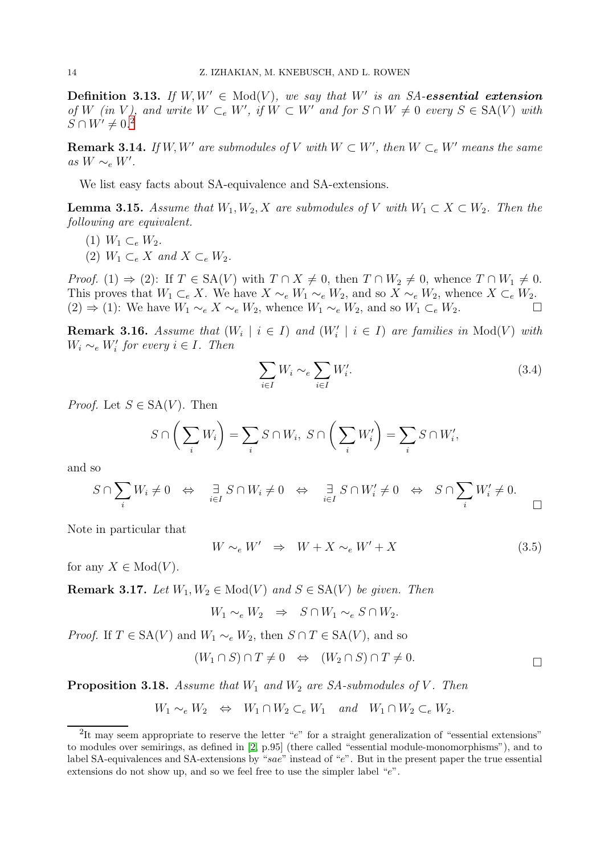**Definition 3.13.** If  $W, W' \in Mod(V)$ , we say that  $W'$  is an SA-essential extension of W (in V), and write  $W \subset_{e} W'$ , if  $W \subset W'$  and for  $S \cap W \neq 0$  every  $S \in SA(V)$  with  $S \cap W' \neq 0.2$  $S \cap W' \neq 0.2$ 

<span id="page-13-1"></span>**Remark 3.14.** If W, W' are submodules of V with  $W \subset W'$ , then  $W \subset_{e} W'$  means the same as W ∼<sup>e</sup> W′ .

We list easy facts about SA-equivalence and SA-extensions.

**Lemma 3.15.** Assume that  $W_1, W_2, X$  are submodules of V with  $W_1 \subset X \subset W_2$ . Then the following are equivalent.

- (1)  $W_1 \subset_{e} W_2$ .
- (2)  $W_1 \subset_{e} X$  and  $X \subset_{e} W_2$ .

*Proof.* (1)  $\Rightarrow$  (2): If  $T \in SA(V)$  with  $T \cap X \neq 0$ , then  $T \cap W_2 \neq 0$ , whence  $T \cap W_1 \neq 0$ . This proves that  $W_1 \subset_e X$ . We have  $X \sim_e W_1 \sim_e W_2$ , and so  $X \sim_e W_2$ , whence  $X \subset_e W_2$ .  $(2)$  ⇒ (1): We have  $W_1 \sim_e X \sim_e W_2$ , whence  $W_1 \sim_e W_2$ , and so  $W_1 \subset_e W_2$ .

<span id="page-13-3"></span>**Remark 3.16.** Assume that  $(W_i | i \in I)$  and  $(W'_i | i \in I)$  are families in  $Mod(V)$  with  $W_i \sim_e W'_i$  for every  $i \in I$ . Then

$$
\sum_{i \in I} W_i \sim_e \sum_{i \in I} W'_i.
$$
\n(3.4)

*Proof.* Let  $S \in SA(V)$ . Then

$$
S \cap \left(\sum_i W_i\right) = \sum_i S \cap W_i, \ S \cap \left(\sum_i W'_i\right) = \sum_i S \cap W'_i,
$$

and so

$$
S \cap \sum_{i} W_i \neq 0 \quad \Leftrightarrow \quad \exists_{i \in I} S \cap W_i \neq 0 \quad \Leftrightarrow \quad \exists_{i \in I} S \cap W'_i \neq 0 \quad \Leftrightarrow \quad S \cap \sum_{i} W'_i \neq 0.
$$

Note in particular that

$$
W \sim_e W' \Rightarrow W + X \sim_e W' + X \tag{3.5}
$$

for any  $X \in Mod(V)$ .

<span id="page-13-2"></span>**Remark 3.17.** Let  $W_1, W_2 \in Mod(V)$  and  $S \in SA(V)$  be given. Then

 $W_1 \sim_e W_2 \Rightarrow S \cap W_1 \sim_e S \cap W_2$ .

*Proof.* If  $T \in SA(V)$  and  $W_1 \sim_e W_2$ , then  $S \cap T \in SA(V)$ , and so

$$
(W_1 \cap S) \cap T \neq 0 \Leftrightarrow (W_2 \cap S) \cap T \neq 0.
$$

**Proposition 3.18.** Assume that  $W_1$  and  $W_2$  are SA-submodules of V. Then

$$
W_1 \sim_e W_2 \Leftrightarrow W_1 \cap W_2 \subset_e W_1
$$
 and  $W_1 \cap W_2 \subset_e W_2$ .

<span id="page-13-0"></span><sup>&</sup>lt;sup>2</sup>It may seem appropriate to reserve the letter " $e$ " for a straight generalization of "essential extensions" to modules over semirings, as defined in [\[2,](#page-32-1) p.95] (there called "essential module-monomorphisms"), and to label SA-equivalences and SA-extensions by "sae" instead of "e". But in the present paper the true essential extensions do not show up, and so we feel free to use the simpler label "e".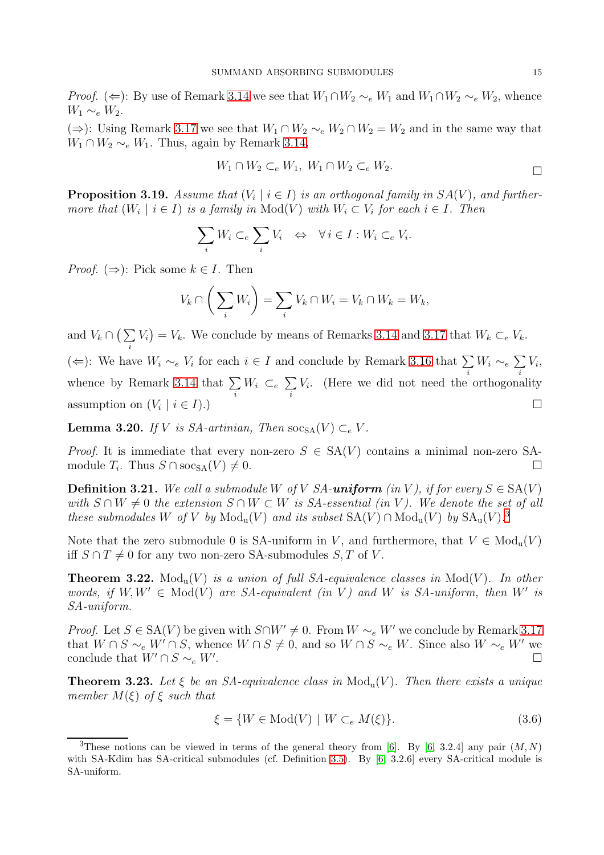*Proof.* ( $\Leftarrow$ ): By use of Remark [3.14](#page-13-1) we see that  $W_1 \cap W_2 \sim_e W_1$  and  $W_1 \cap W_2 \sim_e W_2$ , whence  $W_1 \sim_e W_2$ .

(⇒): Using Remark [3.17](#page-13-2) we see that  $W_1 \cap W_2 \sim_e W_2 \cap W_2 = W_2$  and in the same way that  $W_1 \cap W_2 \sim_e W_1$ . Thus, again by Remark [3.14,](#page-13-1)

$$
W_1 \cap W_2 \subset_e W_1, \ W_1 \cap W_2 \subset_e W_2.
$$

**Proposition 3.19.** Assume that  $(V_i | i \in I)$  is an orthogonal family in  $SA(V)$ , and furthermore that  $(W_i \mid i \in I)$  is a family in  $Mod(V)$  with  $W_i \subset V_i$  for each  $i \in I$ . Then

$$
\sum_i W_i \subset_e \sum_i V_i \iff \forall i \in I : W_i \subset_e V_i.
$$

*Proof.* ( $\Rightarrow$ ): Pick some  $k \in I$ . Then

$$
V_k \cap \left(\sum_i W_i\right) = \sum_i V_k \cap W_i = V_k \cap W_k = W_k,
$$

and  $V_k \cap (\sum$ i  $V_i$  =  $V_k$ . We conclude by means of Remarks [3.14](#page-13-1) and [3.17](#page-13-2) that  $W_k \subset_{e} V_k$ . (←): We have  $W_i \sim_e V_i$  for each  $i \in I$  and conclude by Remark [3.16](#page-13-3) that  $\sum$ i  $W_i \sim_e \sum$ i  $V_i,$ whence by Remark [3.14](#page-13-1) that  $\Sigma$ i  $W_i \subset_e \Sigma$ i Vi . (Here we did not need the orthogonality assumption on  $(V_i | i \in I)$ .  $|i \in I$ .)

**Lemma 3.20.** If V is SA-artinian, Then  $\operatorname{soc}_{\operatorname{SA}}(V) \subset_e V$ .

*Proof.* It is immediate that every non-zero  $S \in SA(V)$  contains a minimal non-zero SAmodule  $T_i$ . Thus  $S \cap \mathrm{soc}_{\mathrm{SA}}(V) \neq 0$ .

**Definition 3.21.** We call a submodule W of V SA-uniform (in V), if for every  $S \in SA(V)$ with  $S \cap W \neq 0$  the extension  $S \cap W \subset W$  is  $SA$ -essential (in V). We denote the set of all these submodules W of V by  $Mod_u(V)$  and its subset  $SA(V) \cap Mod_u(V)$  by  $SA_u(V)$ .<sup>[3](#page-14-0)</sup>

Note that the zero submodule 0 is SA-uniform in V, and furthermore, that  $V \in Mod_{\mathfrak{u}}(V)$ iff  $S \cap T \neq 0$  for any two non-zero SA-submodules  $S, T$  of V.

<span id="page-14-1"></span>**Theorem 3.22.** Mod<sub>u</sub>(V) is a union of full SA-equivalence classes in Mod(V). In other words, if  $W, W' \in Mod(V)$  are SA-equivalent (in V) and W is SA-uniform, then W' is SA-uniform.

*Proof.* Let  $S \in SA(V)$  be given with  $S \cap W' \neq 0$ . From  $W \sim_e W'$  we conclude by Remark [3.17](#page-13-2) that  $W \cap S \sim_e W' \cap S$ , whence  $W \cap S \neq 0$ , and so  $W \cap S \sim_e W$ . Since also  $W \sim_e W'$  we conclude that  $W' \cap S \sim_e W'$ . . В последните при податки на селото на селото на селото на селото на селото на селото на селото на селото на<br>Селото на селото на селото на селото на селото на селото на селото на селото на селото на селото на селото на

<span id="page-14-2"></span>**Theorem 3.23.** Let  $\xi$  be an SA-equivalence class in  $Mod_u(V)$ . Then there exists a unique member  $M(\xi)$  of  $\xi$  such that

$$
\xi = \{ W \in \text{Mod}(V) \mid W \subset_e M(\xi) \}. \tag{3.6}
$$

<span id="page-14-0"></span><sup>&</sup>lt;sup>3</sup>These notions can be viewed in terms of the general theory from [\[6\]](#page-32-5). By [\[6,](#page-32-5) 3.2.4] any pair  $(M, N)$ with SA-Kdim has SA-critical submodules (cf. Definition [3.5\)](#page-11-1). By [\[6,](#page-32-5) 3.2.6] every SA-critical module is SA-uniform.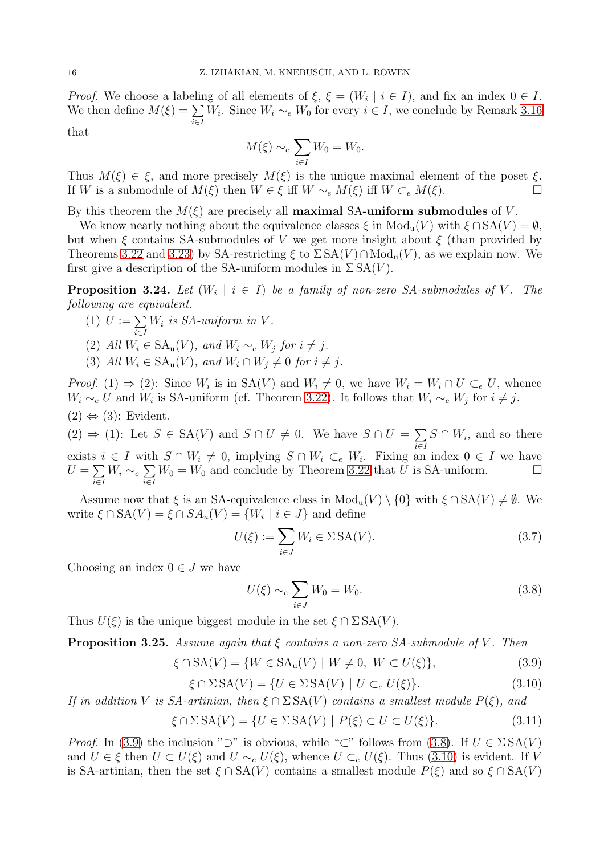*Proof.* We choose a labeling of all elements of  $\xi$ ,  $\xi = (W_i | i \in I)$ , and fix an index  $0 \in I$ . We then define  $M(\xi) = \sum$ i∈I  $W_i$ . Since  $W_i \sim_e W_0$  for every  $i \in I$ , we conclude by Remark [3.16](#page-13-3)

that

$$
M(\xi) \sim_e \sum_{i \in I} W_0 = W_0.
$$

Thus  $M(\xi) \in \xi$ , and more precisely  $M(\xi)$  is the unique maximal element of the poset  $\xi$ . If W is a submodule of  $M(\xi)$  then  $W \in \xi$  iff  $W \sim_e M(\xi)$  iff  $W \subset_e M(\xi)$ .

By this theorem the  $M(\xi)$  are precisely all **maximal SA-uniform submodules** of V.

We know nearly nothing about the equivalence classes  $\xi$  in  $Mod_u(V)$  with  $\xi \cap SA(V) = \emptyset$ , but when  $\xi$  contains SA-submodules of V we get more insight about  $\xi$  (than provided by Theorems [3.22](#page-14-1) and [3.23\)](#page-14-2) by SA-restricting  $\xi$  to  $\Sigma$  SA(V) ∩Mod<sub>u</sub>(V), as we explain now. We first give a description of the SA-uniform modules in  $\Sigma SA(V)$ .

**Proposition 3.24.** Let  $(W_i \mid i \in I)$  be a family of non-zero SA-submodules of V. The following are equivalent.

- (1)  $U := \sum$ i∈I  $W_i$  is  $SA$ -uniform in  $V$ .
- (2) All  $W_i \in SA_u(V)$ , and  $W_i \sim_e W_j$  for  $i \neq j$ .
- (3) All  $W_i \in SA_u(V)$ , and  $W_i \cap W_j \neq 0$  for  $i \neq j$ .

*Proof.* (1)  $\Rightarrow$  (2): Since  $W_i$  is in SA(V) and  $W_i \neq 0$ , we have  $W_i = W_i \cap U \subset_e U$ , whence  $W_i \sim_e U$  and  $W_i$  is SA-uniform (cf. Theorem [3.22\)](#page-14-1). It follows that  $W_i \sim_e W_j$  for  $i \neq j$ .  $(2) \Leftrightarrow (3)$ : Evident.

 $(2) \Rightarrow (1)$ : Let  $S \in SA(V)$  and  $S \cap U \neq 0$ . We have  $S \cap U = \sum$ i∈I  $S \cap W_i$ , and so there exists  $i \in I$  with  $S \cap W_i \neq 0$ , implying  $S \cap W_i \subset_{e} W_i$ . Fixing an index  $0 \in I$  we have  $U=\sum$ i∈I  $W_i \sim_e \sum$ i∈I  $W_0 = W_0$  and conclude by Theorem [3.22](#page-14-1) that  $\tilde{U}$  is SA-uniform.

Assume now that  $\xi$  is an SA-equivalence class in  $Mod_u(V) \setminus \{0\}$  with  $\xi \cap SA(V) \neq \emptyset$ . We write  $\xi \cap SA(V) = \xi \cap SA_u(V) = \{W_i \mid i \in J\}$  and define

$$
U(\xi) := \sum_{i \in J} W_i \in \Sigma \, \text{SA}(V). \tag{3.7}
$$

Choosing an index  $0 \in J$  we have

<span id="page-15-1"></span>
$$
U(\xi) \sim_e \sum_{i \in J} W_0 = W_0. \tag{3.8}
$$

Thus  $U(\xi)$  is the unique biggest module in the set  $\xi \cap \Sigma SA(V)$ .

**Proposition 3.25.** Assume again that  $\xi$  contains a non-zero SA-submodule of V. Then

<span id="page-15-0"></span>
$$
\xi \cap \text{SA}(V) = \{ W \in \text{SA}_{\text{u}}(V) \mid W \neq 0, \ W \subset U(\xi) \},\tag{3.9}
$$

<span id="page-15-2"></span>
$$
\xi \cap \Sigma \, \text{SA}(V) = \{ U \in \Sigma \, \text{SA}(V) \mid U \subset_e U(\xi) \}. \tag{3.10}
$$

If in addition V is SA-artinian, then  $\xi \cap \Sigma SA(V)$  contains a smallest module  $P(\xi)$ , and

$$
\xi \cap \Sigma \operatorname{SA}(V) = \{ U \in \Sigma \operatorname{SA}(V) \mid P(\xi) \subset U \subset U(\xi) \}. \tag{3.11}
$$

*Proof.* In [\(3.9\)](#page-15-0) the inclusion "⊃" is obvious, while "⊂" follows from [\(3.8\)](#page-15-1). If  $U \in \Sigma S A(V)$ and  $U \in \xi$  then  $U \subset U(\xi)$  and  $U \sim_e U(\xi)$ , whence  $U \subset_e U(\xi)$ . Thus [\(3.10\)](#page-15-2) is evident. If V is SA-artinian, then the set  $\xi \cap SA(V)$  contains a smallest module  $P(\xi)$  and so  $\xi \cap SA(V)$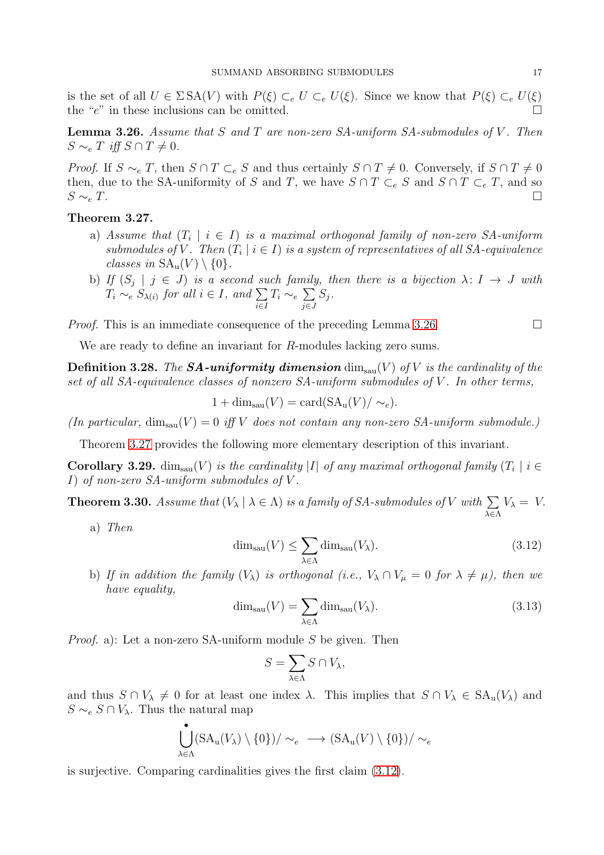is the set of all  $U \in \Sigma \, SA(V)$  with  $P(\xi) \subset_e U \subset_e U(\xi)$ . Since we know that  $P(\xi) \subset_e U(\xi)$ the " $e$ " in these inclusions can be omitted.

<span id="page-16-2"></span>**Lemma 3.26.** Assume that S and T are non-zero SA-uniform SA-submodules of V. Then  $S \sim_e T$  iff  $S \cap T \neq 0$ .

*Proof.* If  $S \sim_e T$ , then  $S \cap T \subset_e S$  and thus certainly  $S \cap T \neq 0$ . Conversely, if  $S \cap T \neq 0$ then, due to the SA-uniformity of S and T, we have  $S \cap T \subset_e S$  and  $S \cap T \subset_e T$ , and so  $S \sim_e T$ .

## <span id="page-16-3"></span>Theorem 3.27.

- a) Assume that  $(T_i \mid i \in I)$  is a maximal orthogonal family of non-zero SA-uniform submodules of V. Then  $(T_i \mid i \in I)$  is a system of representatives of all SA-equivalence classes in  $SA_u(V) \setminus \{0\}$ .
- b) If  $(S_j | j \in J)$  is a second such family, then there is a bijection  $\lambda: I \to J$  with  $T_i \sim_e S_{\lambda(i)}$  for all  $i \in I$ , and  $\sum$ i∈I  $T_i \sim_e \sum$ j∈J  $S_j$  .

*Proof.* This is an immediate consequence of the preceding Lemma [3.26.](#page-16-2)

We are ready to define an invariant for R-modules lacking zero sums.

<span id="page-16-0"></span>**Definition 3.28.** The **SA-uniformity dimension**  $\dim_{\text{sau}}(V)$  of V is the cardinality of the set of all SA-equivalence classes of nonzero SA-uniform submodules of V. In other terms,

$$
1 + \dim_{\text{sau}}(V) = \text{card}(SA_u(V)/\sim_e).
$$

(In particular,  $\dim_{\text{sau}}(V) = 0$  iff V does not contain any non-zero SA-uniform submodule.)

Theorem [3.27](#page-16-3) provides the following more elementary description of this invariant.

**Corollary 3.29.** dim<sub>sau</sub> $(V)$  is the cardinality |I| of any maximal orthogonal family  $(T_i | i \in$ I) of non-zero SA-uniform submodules of V .

<span id="page-16-1"></span>**Theorem 3.30.** Assume that  $(V_{\lambda} | \lambda \in \Lambda)$  is a family of SA-submodules of V with  $\sum$ λ∈Λ  $V_{\lambda} = V.$ 

a) Then

<span id="page-16-4"></span>
$$
\dim_{\text{sau}}(V) \le \sum_{\lambda \in \Lambda} \dim_{\text{sau}}(V_{\lambda}).\tag{3.12}
$$

b) If in addition the family  $(V_\lambda)$  is orthogonal (i.e.,  $V_\lambda \cap V_\mu = 0$  for  $\lambda \neq \mu$ ), then we have equality,

<span id="page-16-5"></span>
$$
\dim_{\text{sau}}(V) = \sum_{\lambda \in \Lambda} \dim_{\text{sau}}(V_{\lambda}). \tag{3.13}
$$

Proof. a): Let a non-zero SA-uniform module S be given. Then

$$
S = \sum_{\lambda \in \Lambda} S \cap V_{\lambda},
$$

and thus  $S \cap V_\lambda \neq 0$  for at least one index  $\lambda$ . This implies that  $S \cap V_\lambda \in SA_u(V_\lambda)$  and  $S \sim_e S \cap V_\lambda$ . Thus the natural map

$$
\bigcup_{\lambda \in \Lambda} (\text{SA}_{\text{u}}(V_{\lambda}) \setminus \{0\}) / \sim_e \implies (\text{SA}_{\text{u}}(V) \setminus \{0\}) / \sim_e
$$

is surjective. Comparing cardinalities gives the first claim [\(3.12\)](#page-16-4).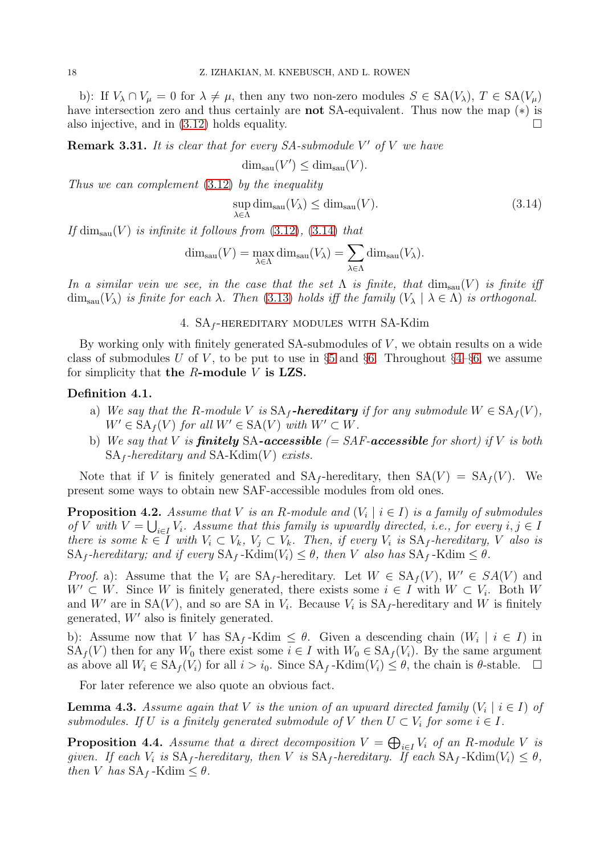b): If  $V_\lambda \cap V_\mu = 0$  for  $\lambda \neq \mu$ , then any two non-zero modules  $S \in SA(V_\lambda)$ ,  $T \in SA(V_\mu)$ have intersection zero and thus certainly are not SA-equivalent. Thus now the map (∗) is also injective, and in  $(3.12)$  holds equality.

**Remark 3.31.** It is clear that for every  $SA$ -submodule  $V'$  of  $V$  we have

$$
\dim_{\text{sau}}(V') \le \dim_{\text{sau}}(V).
$$

Thus we can complement [\(3.12\)](#page-16-4) by the inequality

<span id="page-17-1"></span>
$$
\sup_{\lambda \in \Lambda} \dim_{\text{sau}}(V_{\lambda}) \le \dim_{\text{sau}}(V). \tag{3.14}
$$

If  $\dim_{\text{sal}}(V)$  is infinite it follows from  $(3.12)$ ,  $(3.14)$  that

$$
\dim_{\text{sau}}(V) = \max_{\lambda \in \Lambda} \dim_{\text{sau}}(V_{\lambda}) = \sum_{\lambda \in \Lambda} \dim_{\text{sau}}(V_{\lambda}).
$$

<span id="page-17-0"></span>In a similar vein we see, in the case that the set  $\Lambda$  is finite, that  $\dim_{\text{sau}}(V)$  is finite iff  $\dim_{\text{san}}(V_\lambda)$  is finite for each  $\lambda$ . Then [\(3.13\)](#page-16-5) holds iff the family  $(V_\lambda \mid \lambda \in \Lambda)$  is orthogonal.

4.  $SA_f$ -HEREDITARY MODULES WITH SA-Kdim

By working only with finitely generated  $SA$ -submodules of  $V$ , we obtain results on a wide class of submodules U of V, to be put to use in §[5](#page-19-0) and §[6.](#page-22-0) Throughout §[4–](#page-17-0)§[6,](#page-22-0) we assume for simplicity that the  $R$ -module  $V$  is LZS.

# Definition 4.1.

- a) We say that the R-module V is  $SA_f$ -hereditary if for any submodule  $W \in SA_f(V)$ ,  $W' \in SA_f(V)$  for all  $W' \in SA(V)$  with  $W' \subset W$ .
- b) We say that V is **finitely** SA-**accessible**  $\ell = SAF$ **-accessible** for short) if V is both  $SA_f$ -hereditary and  $SA-Kdim(V)$  exists.

Note that if V is finitely generated and  $SA_f$ -hereditary, then  $SA(V) = SA_f(V)$ . We present some ways to obtain new SAF-accessible modules from old ones.

<span id="page-17-3"></span>**Proposition 4.2.** Assume that V is an R-module and  $(V_i \mid i \in I)$  is a family of submodules of V with  $V = \bigcup_{i \in I} V_i$ . Assume that this family is upwardly directed, i.e., for every  $i, j \in I$ there is some  $k \in I$  with  $V_i \subset V_k$ ,  $V_j \subset V_k$ . Then, if every  $V_i$  is  $SA_f$ -hereditary, V also is  $SA_f$ -hereditary; and if every  $SA_f$ -Kdim $(V_i) \leq \theta$ , then V also has  $SA_f$ -Kdim  $\leq \theta$ .

*Proof.* a): Assume that the  $V_i$  are  $SA_f$ -hereditary. Let  $W \in SA_f(V)$ ,  $W' \in SA(V)$  and  $W' \subset W$ . Since W is finitely generated, there exists some  $i \in I$  with  $W \subset V_i$ . Both W and W' are in  $SA(V)$ , and so are SA in  $V_i$ . Because  $V_i$  is  $SA_f$ -hereditary and W is finitely generated, W′ also is finitely generated.

b): Assume now that V has  $SA_f$ -Kdim  $\leq \theta$ . Given a descending chain  $(W_i \mid i \in I)$  in  $SA_f(V)$  then for any  $W_0$  there exist some  $i \in I$  with  $W_0 \in SA_f(V_i)$ . By the same argument as above all  $W_i \in SA_f(V_i)$  for all  $i > i_0$ . Since  $SA_f$ -Kdim $(V_i) \leq \theta$ , the chain is  $\theta$ -stable.  $\Box$ 

For later reference we also quote an obvious fact.

<span id="page-17-2"></span>**Lemma 4.3.** Assume again that V is the union of an upward directed family  $(V_i \mid i \in I)$  of submodules. If U is a finitely generated submodule of V then  $U \subset V_i$  for some  $i \in I$ .

<span id="page-17-4"></span>**Proposition 4.4.** Assume that a direct decomposition  $V = \bigoplus_{i \in I} V_i$  of an R-module V is given. If each  $V_i$  is  $SA_f$ -hereditary, then V is  $SA_f$ -hereditary. If each  $SA_f$ -Kdim $(V_i) \leq \theta$ , then V has  $SA_f$ -Kdim  $\leq \theta$ .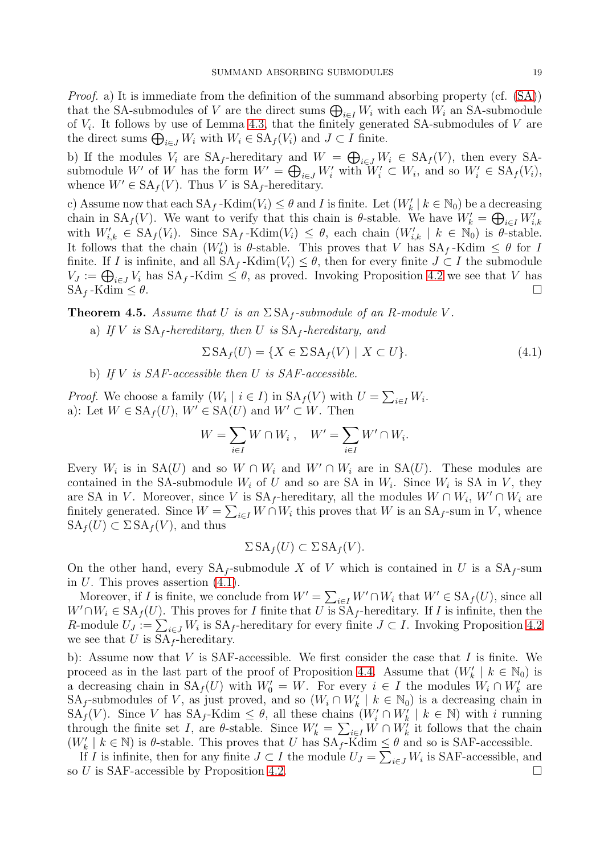Proof. a) It is immediate from the definition of the summand absorbing property (cf. [\(SA\)](#page-1-0)) that the SA-submodules of V are the direct sums  $\bigoplus_{i\in I} W_i$  with each  $W_i$  an SA-submodule of  $V_i$ . It follows by use of Lemma [4.3,](#page-17-2) that the finitely generated SA-submodules of  $V$  are the direct sums  $\bigoplus_{i\in J} W_i$  with  $W_i \in SA_f(V_i)$  and  $J \subset I$  finite.

b) If the modules  $V_i$  are  $SA_f$ -hereditary and  $W = \bigoplus_{i \in J} W_i \in SA_f(V)$ , then every SAsubmodule W' of W has the form  $W' = \bigoplus_{i \in J} W'_i$  with  $W'_i \subset W_i$ , and so  $W'_i \in SA_f(V_i)$ , whence  $W' \in SA_f(V)$ . Thus V is  $SA_f$ -hereditary.

c) Assume now that each  $SA_f$ -Kdim $(V_i) \leq \theta$  and I is finite. Let  $(W'_k \mid k \in \mathbb{N}_0)$  be a decreasing chain in  $SA_f(V)$ . We want to verify that this chain is  $\theta$ -stable. We have  $W'_k = \bigoplus_{i \in I} W'_{i,k}$ with  $W'_{i,k} \in SA_f(V_i)$ . Since  $SA_f$ -Kdim $(V_i) \leq \theta$ , each chain  $(W'_{i,k} \mid k \in \mathbb{N}_0)$  is  $\theta$ -stable. It follows that the chain  $(W'_k)$  is  $\theta$ -stable. This proves that V has  $SA_f$ -Kdim  $\leq \theta$  for I finite. If I is infinite, and all  $SA_f$ -Kdim $(V_i) \leq \theta$ , then for every finite  $J \subset I$  the submodule  $V_J := \bigoplus_{i \in J} V_i$  has  $SA_f$ -Kdim  $\leq \theta$ , as proved. Invoking Proposition [4.2](#page-17-3) we see that V has  $SA_f$ -Kdim  $\leq \theta$ .

<span id="page-18-1"></span>**Theorem 4.5.** Assume that U is an  $\Sigma$  SA<sub>f</sub>-submodule of an R-module V.

a) If V is  $SA_f$ -hereditary, then U is  $SA_f$ -hereditary, and

<span id="page-18-0"></span>
$$
\Sigma S A_f(U) = \{ X \in \Sigma S A_f(V) \mid X \subset U \}. \tag{4.1}
$$

b) If  $V$  is SAF-accessible then  $U$  is SAF-accessible.

*Proof.* We choose a family  $(W_i \mid i \in I)$  in  $SA_f(V)$  with  $U = \sum_{i \in I} W_i$ . a): Let  $W \in SA_f(U)$ ,  $W' \in SA(U)$  and  $W' \subset W$ . Then

$$
W = \sum_{i \in I} W \cap W_i , \quad W' = \sum_{i \in I} W' \cap W_i.
$$

Every  $W_i$  is in SA(U) and so  $W \cap W_i$  and  $W' \cap W_i$  are in SA(U). These modules are contained in the SA-submodule  $W_i$  of U and so are SA in  $W_i$ . Since  $W_i$  is SA in V, they are SA in V. Moreover, since V is  $SA_f$ -hereditary, all the modules  $W \cap W_i$ ,  $W' \cap W_i$  are finitely generated. Since  $W = \sum_{i \in I} W \cap W_i$  this proves that W is an SA<sub>f</sub>-sum in V, whence  $SA_f(U) \subset \Sigma SA_f(V)$ , and thus

$$
\Sigma \, \text{SA}_f(U) \subset \Sigma \, \text{SA}_f(V).
$$

On the other hand, every  $SA_f$ -submodule X of V which is contained in U is a  $SA_f$ -sum in  $U$ . This proves assertion  $(4.1)$ .

Moreover, if I is finite, we conclude from  $W' = \sum_{i \in I} W' \cap W_i$  that  $W' \in SA_f(U)$ , since all  $W' \cap W_i \in SA_f(U)$ . This proves for I finite that U is  $SA_f$ -hereditary. If I is infinite, then the R-module  $U_J := \sum_{i \in J} W_i$  is  $SA_f$ -hereditary for every finite  $J \subset I$ . Invoking Proposition [4.2](#page-17-3) we see that U is  $SA_f$ -hereditary.

b): Assume now that V is SAF-accessible. We first consider the case that I is finite. We proceed as in the last part of the proof of Proposition [4.4.](#page-17-4) Assume that  $(W'_{k} \mid k \in \mathbb{N}_{0})$  is a decreasing chain in  $SA_f(U)$  with  $W'_0 = W$ . For every  $i \in I$  the modules  $W_i \cap W'_k$  are SA<sub>f</sub>-submodules of V, as just proved, and so  $(W_i \cap W'_k \mid k \in \mathbb{N}_0)$  is a decreasing chain in  $SA_f(V)$ . Since V has  $SA_f$ -Kdim  $\leq \theta$ , all these chains  $(W'_i \cap W'_k \mid k \in \mathbb{N})$  with i running through the finite set I, are  $\theta$ -stable. Since  $W'_k = \sum_{i \in I} W \cap W'_k$  it follows that the chain  $(W'_{k} \mid k \in \mathbb{N})$  is  $\theta$ -stable. This proves that U has  $SA_{f}$ -Kdim  $\leq \theta$  and so is SAF-accessible.

If I is infinite, then for any finite  $J \subset I$  the module  $U_J = \sum_{i \in J} W_i$  is SAF-accessible, and so U is SAF-accessible by Proposition [4.2.](#page-17-3)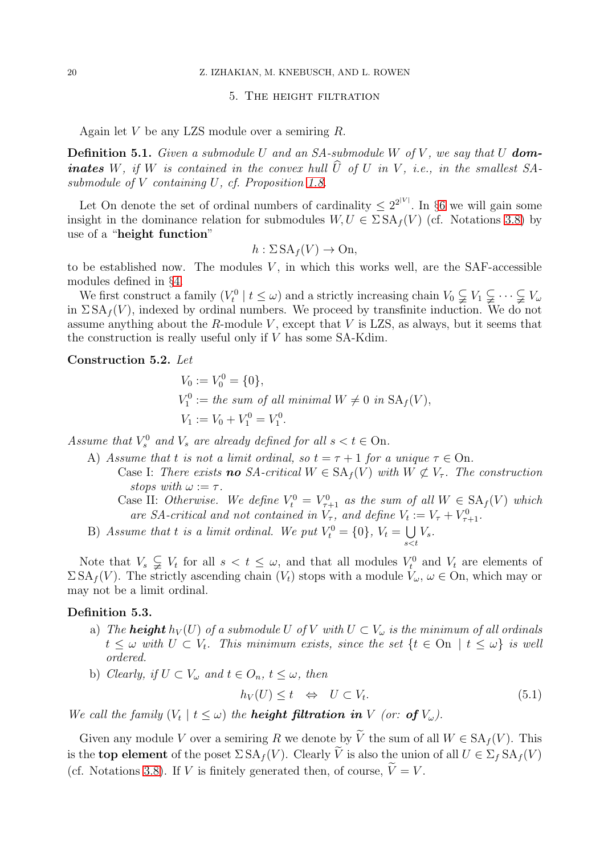## <span id="page-19-0"></span>20 Z. IZHAKIAN, M. KNEBUSCH, AND L. ROWEN

#### 5. The height filtration

Again let V be any LZS module over a semiring R.

<span id="page-19-2"></span>**Definition 5.1.** Given a submodule U and an SA-submodule W of V, we say that U **dominates** W, if W is contained in the convex hull  $\widehat{U}$  of U in V, i.e., in the smallest SAsubmodule of V containing U, cf. Proposition [1.8.](#page-2-2)

Let On denote the set of ordinal numbers of cardinality  $\leq 2^{2^{|V|}}$ . In §[6](#page-22-0) we will gain some insight in the dominance relation for submodules  $W, U \in \Sigma S A_f(V)$  (cf. Notations [3.8\)](#page-11-2) by use of a "height function"

$$
h: \Sigma \, \text{SA}_f(V) \to \text{On},
$$

to be established now. The modules  $V$ , in which this works well, are the SAF-accessible modules defined in §[4.](#page-17-0)

We first construct a family  $(V_t^0 \mid t \leq \omega)$  and a strictly increasing chain  $V_0 \subsetneq V_1 \subsetneq \cdots \subsetneq V_\omega$ in  $\Sigma S A_f(V)$ , indexed by ordinal numbers. We proceed by transfinite induction. We do not assume anything about the R-module V, except that V is LZS, as always, but it seems that the construction is really useful only if V has some SA-Kdim.

## <span id="page-19-1"></span>Construction 5.2. Let

$$
V_0 := V_0^0 = \{0\},
$$
  
\n
$$
V_1^0 := the sum of all minimal W \neq 0 in SA_f(V),
$$
  
\n
$$
V_1 := V_0 + V_1^0 = V_1^0.
$$

Assume that  $V_s^0$  and  $V_s$  are already defined for all  $s < t \in \text{On}$ .

- A) Assume that t is not a limit ordinal, so  $t = \tau + 1$  for a unique  $\tau \in \text{On}$ . Case I: There exists **no** SA-critical  $W \in SA_f(V)$  with  $W \not\subset V_{\tau}$ . The construction
	- stops with  $\omega := \tau$ . Case II: Otherwise. We define  $V_t^0 = V_{\tau+1}^0$  as the sum of all  $W \in SA_f(V)$  which are SA-critical and not contained in  $V_{\tau}$ , and define  $V_t := V_{\tau} + V_{\tau+1}^0$ .
- B) Assume that t is a limit ordinal. We put  $V_t^0 = \{0\}$ ,  $V_t = \bigcup$ s<t  $V_s$  .

Note that  $V_s \subsetneq V_t$  for all  $s < t \leq \omega$ , and that all modules  $V_t^0$  and  $V_t$  are elements of  $\Sigma S A_f(V)$ . The strictly ascending chain  $(V_t)$  stops with a module  $V_\omega$ ,  $\omega \in \Omega$ , which may or may not be a limit ordinal.

#### Definition 5.3.

- a) The **height**  $h_V(U)$  of a submodule U of V with  $U \subset V_\omega$  is the minimum of all ordinals  $t \leq \omega$  with  $U \subset V_t$ . This minimum exists, since the set  $\{t \in \text{On} \mid t \leq \omega\}$  is well ordered.
- b) Clearly, if  $U \subset V_\omega$  and  $t \in O_n$ ,  $t \leq \omega$ , then

$$
h_V(U) \le t \quad \Leftrightarrow \quad U \subset V_t. \tag{5.1}
$$

We call the family  $(V_t | t \leq \omega)$  the **height filtration in** V (or: **of**  $V_{\omega}$ ).

Given any module V over a semiring R we denote by  $\tilde{V}$  the sum of all  $W \in SA_f(V)$ . This is the **top element** of the poset  $\Sigma S A_f(V)$ . Clearly  $\widetilde{V}$  is also the union of all  $U \in \Sigma_f S A_f(V)$ (cf. Notations [3.8\)](#page-11-2). If V is finitely generated then, of course,  $\widetilde{V}=V$ .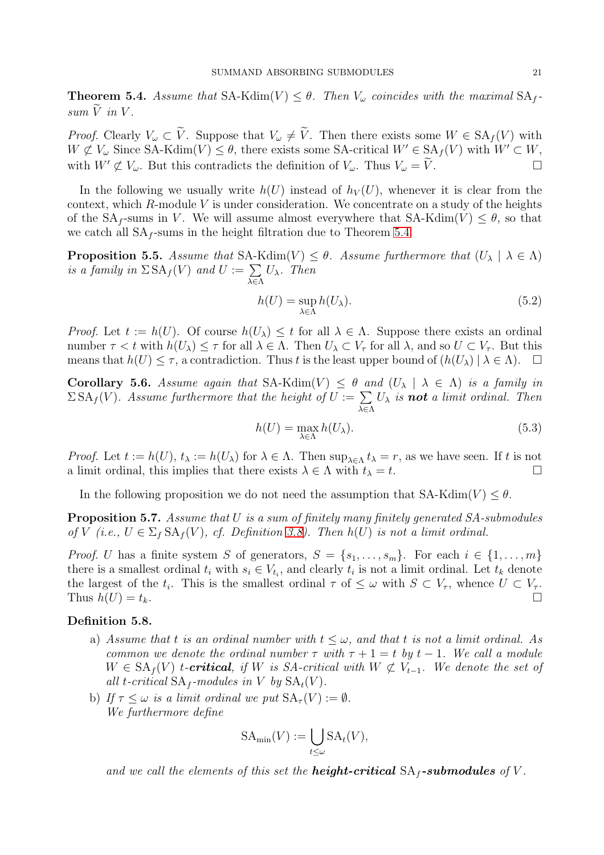<span id="page-20-0"></span>**Theorem 5.4.** Assume that  $SA-Kdim(V) \leq \theta$ . Then  $V_{\omega}$  coincides with the maximal  $SA_f$  $sum \ \widetilde{V}$  in V.

*Proof.* Clearly  $V_{\omega} \subset V$ . Suppose that  $V_{\omega} \neq V$ . Then there exists some  $W \in SA_f(V)$  with  $W \not\subset V_\omega$  Since SA-Kdim $(V) \leq \theta$ , there exists some SA-critical  $W' \in SA_f(V)$  with  $W' \subset W$ , with  $W' \not\subset V_\omega$ . But this contradicts the definition of  $V_\omega$ . Thus  $V_\omega = \widetilde{V}$ .

In the following we usually write  $h(U)$  instead of  $h_V(U)$ , whenever it is clear from the context, which  $R$ -module  $V$  is under consideration. We concentrate on a study of the heights of the  $SA_f$ -sums in V. We will assume almost everywhere that  $SA-Kdim(V) < \theta$ , so that we catch all  $SA_f$ -sums in the height filtration due to Theorem [5.4.](#page-20-0)

**Proposition 5.5.** Assume that SA-Kdim(V)  $\leq \theta$ . Assume furthermore that  $(U_\lambda \mid \lambda \in \Lambda)$ is a family in  $\Sigma$  SA<sub>f</sub>(V) and  $U := \sum$ λ∈Λ  $U_{\lambda}$ . Then

$$
h(U) = \sup_{\lambda \in \Lambda} h(U_{\lambda}).
$$
\n(5.2)

*Proof.* Let  $t := h(U)$ . Of course  $h(U_\lambda) \leq t$  for all  $\lambda \in \Lambda$ . Suppose there exists an ordinal number  $\tau < t$  with  $h(U_\lambda) \leq \tau$  for all  $\lambda \in \Lambda$ . Then  $U_\lambda \subset V_\tau$  for all  $\lambda$ , and so  $U \subset V_\tau$ . But this means that  $h(U) \leq \tau$ , a contradiction. Thus t is the least upper bound of  $(h(U_\lambda) | \lambda \in \Lambda)$ .  $\Box$ 

Corollary 5.6. Assume again that  $SA-Kdim(V) \leq \theta$  and  $(U_\lambda \mid \lambda \in \Lambda)$  is a family in  $\Sigma$ SA<sub>f</sub>(V). Assume furthermore that the height of  $U := \sum$ λ∈Λ  $U_{\lambda}$  is **not** a limit ordinal. Then

$$
h(U) = \max_{\lambda \in \Lambda} h(U_{\lambda}).
$$
\n(5.3)

*Proof.* Let  $t := h(U)$ ,  $t_{\lambda} := h(U_{\lambda})$  for  $\lambda \in \Lambda$ . Then  $\sup_{\lambda \in \Lambda} t_{\lambda} = r$ , as we have seen. If t is not a limit ordinal, this implies that there exists  $\lambda \in \Lambda$  with  $t_{\lambda} = t$ .

In the following proposition we do not need the assumption that  $SA-Kdim(V) \leq \theta$ .

Proposition 5.7. Assume that U is a sum of finitely many finitely generated SA-submodules of V (i.e.,  $U \in \Sigma_f \, \text{SA}_f(V)$ , cf. Definition [3.8\)](#page-11-2). Then  $h(U)$  is not a limit ordinal.

*Proof. U* has a finite system S of generators,  $S = \{s_1, \ldots, s_m\}$ . For each  $i \in \{1, \ldots, m\}$ there is a smallest ordinal  $t_i$  with  $s_i \in V_{t_i}$ , and clearly  $t_i$  is not a limit ordinal. Let  $t_k$  denote the largest of the  $t_i$ . This is the smallest ordinal  $\tau$  of  $\leq \omega$  with  $S \subset V_{\tau}$ , whence  $U \subset V_{\tau}$ . Thus  $h(U) = t_k$ .

## Definition 5.8.

- a) Assume that t is an ordinal number with  $t \leq \omega$ , and that t is not a limit ordinal. As common we denote the ordinal number  $\tau$  with  $\tau + 1 = t$  by  $t - 1$ . We call a module  $W \in SA_f(V)$  t-**critical**, if W is SA-critical with  $W \not\subset V_{t-1}$ . We denote the set of all t-critical  $SA_f$ -modules in V by  $SA_t(V)$ .
- b) If  $\tau \leq \omega$  is a limit ordinal we put  $SA_{\tau}(V) := \emptyset$ . We furthermore define

$$
SA_{\min}(V) := \bigcup_{t \le \omega} SA_t(V),
$$

and we call the elements of this set the **height-critical**  $SA_f$ -submodules of V.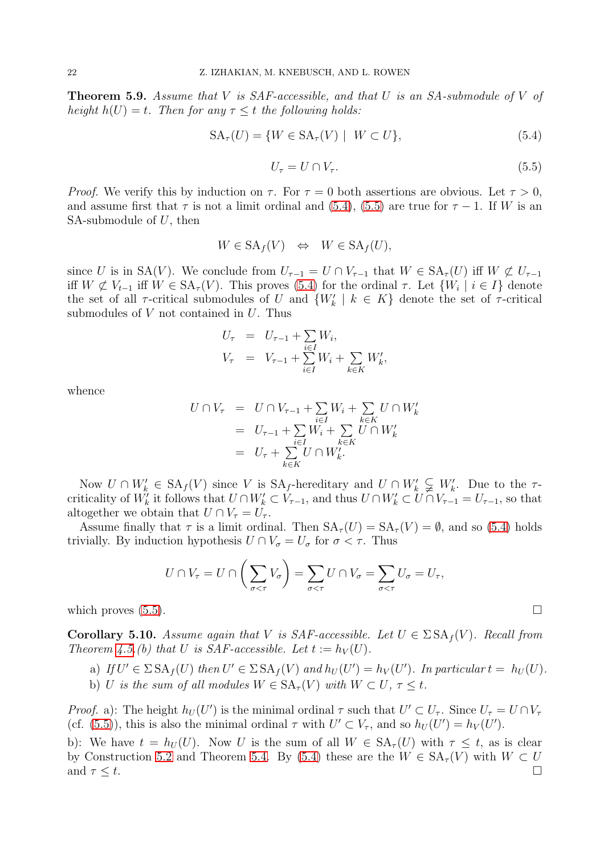**Theorem 5.9.** Assume that V is  $SAF$ -accessible, and that U is an  $SA$ -submodule of V of height  $h(U) = t$ . Then for any  $\tau \leq t$  the following holds:

<span id="page-21-0"></span>
$$
SA_{\tau}(U) = \{ W \in SA_{\tau}(V) \mid W \subset U \},\tag{5.4}
$$

<span id="page-21-1"></span>
$$
U_{\tau} = U \cap V_{\tau}.\tag{5.5}
$$

*Proof.* We verify this by induction on  $\tau$ . For  $\tau = 0$  both assertions are obvious. Let  $\tau > 0$ , and assume first that  $\tau$  is not a limit ordinal and [\(5.4\)](#page-21-0), [\(5.5\)](#page-21-1) are true for  $\tau - 1$ . If W is an SA-submodule of  $U$ , then

$$
W \in \text{SA}_f(V) \iff W \in \text{SA}_f(U),
$$

since U is in SA(V). We conclude from  $U_{\tau-1} = U \cap V_{\tau-1}$  that  $W \in SA_{\tau}(U)$  iff  $W \not\subset U_{\tau-1}$ iff  $W \not\subset V_{t-1}$  iff  $W \in SA_{\tau}(V)$ . This proves [\(5.4\)](#page-21-0) for the ordinal  $\tau$ . Let  $\{W_i \mid i \in I\}$  denote the set of all  $\tau$ -critical submodules of U and  $\{W'_k \mid k \in K\}$  denote the set of  $\tau$ -critical submodules of  $V$  not contained in  $U$ . Thus

$$
U_{\tau} = U_{\tau-1} + \sum_{i \in I} W_i,
$$
  

$$
V_{\tau} = V_{\tau-1} + \sum_{i \in I} W_i + \sum_{k \in K} W'_k,
$$

whence

$$
U \cap V_{\tau} = U \cap V_{\tau-1} + \sum_{i \in I} W_i + \sum_{k \in K} U \cap W'_k
$$
  
= 
$$
U_{\tau-1} + \sum_{i \in I} W_i + \sum_{k \in K} U \cap W'_k
$$
  
= 
$$
U_{\tau} + \sum_{k \in K} U \cap W'_k.
$$

Now  $U \cap W'_{k} \in SA_f(V)$  since V is  $SA_f$ -hereditary and  $U \cap W'_{k} \subsetneq W'_{k}$ . Due to the  $\tau$ criticality of  $W'_k$  it follows that  $U \cap W'_k \subset V_{\tau-1}$ , and thus  $U \cap W'_k \subset U \cap V_{\tau-1} = U_{\tau-1}$ , so that altogether we obtain that  $U \cap V_{\tau} = U_{\tau}$ .

Assume finally that  $\tau$  is a limit ordinal. Then  $SA_{\tau}(U) = SA_{\tau}(V) = \emptyset$ , and so [\(5.4\)](#page-21-0) holds trivially. By induction hypothesis  $U \cap V_{\sigma} = U_{\sigma}$  for  $\sigma < \tau$ . Thus

$$
U \cap V_{\tau} = U \cap \left(\sum_{\sigma < \tau} V_{\sigma}\right) = \sum_{\sigma < \tau} U \cap V_{\sigma} = \sum_{\sigma < \tau} U_{\sigma} = U_{\tau},
$$

which proves  $(5.5)$ .

<span id="page-21-2"></span>**Corollary 5.10.** Assume again that V is SAF-accessible. Let  $U \in \Sigma S A_f(V)$ . Recall from Theorem [4.5.](#page-18-1)(b) that U is SAF-accessible. Let  $t := h_V(U)$ .

a) If  $U' \in \Sigma \, SA_f(U)$  then  $U' \in \Sigma \, SA_f(V)$  and  $h_U(U') = h_V(U')$ . In particular  $t = h_U(U)$ . b) U is the sum of all modules  $W \in SA_{\tau}(V)$  with  $W \subset U, \tau \leq t$ .

*Proof.* a): The height  $h_U(U')$  is the minimal ordinal  $\tau$  such that  $U' \subset U_{\tau}$ . Since  $U_{\tau} = U \cap V_{\tau}$ (cf. [\(5.5\)](#page-21-1)), this is also the minimal ordinal  $\tau$  with  $U' \subset V_{\tau}$ , and so  $h_U(U') = h_V(U')$ .

b): We have  $t = h_U(U)$ . Now U is the sum of all  $W \in SA_\tau(U)$  with  $\tau \leq t$ , as is clear by Construction [5.2](#page-19-1) and Theorem [5.4.](#page-20-0) By [\(5.4\)](#page-21-0) these are the  $W \in SA_{\tau}(V)$  with  $W \subset U$ and  $\tau \leq t$ .

$$
\qquad \qquad \Box
$$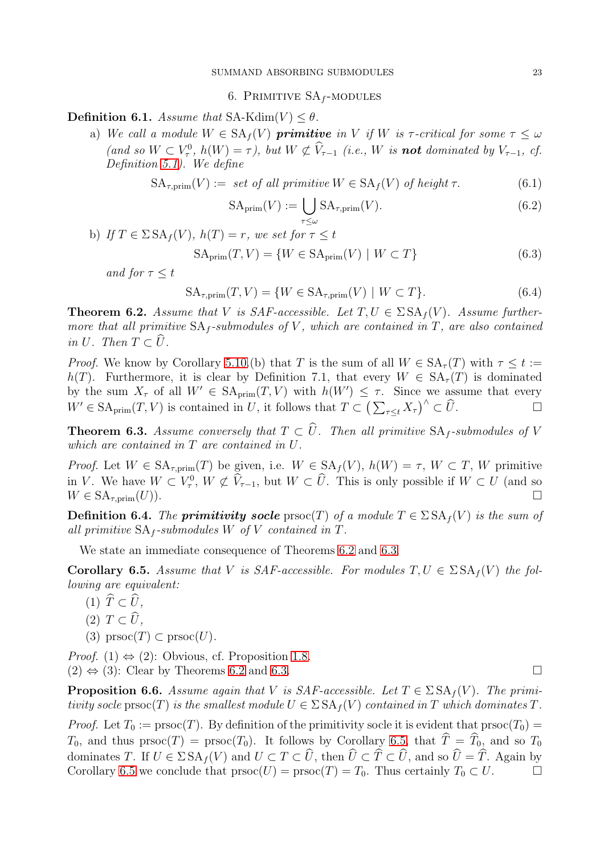6. PRIMITIVE  $SA_f$ -MODULES

<span id="page-22-0"></span>Definition 6.1. Assume that SA-Kdim(V)  $< \theta$ .

a) We call a module  $W \in SA_f(V)$  primitive in V if W is  $\tau$ -critical for some  $\tau \leq \omega$ (and so  $W \subset V^0_\tau$ ,  $h(W) = \tau$ ), but  $W \not\subset V_{\tau-1}$  (i.e., W is **not** dominated by  $V_{\tau-1}$ , cf. Definition [5.1\)](#page-19-2). We define

$$
SA_{\tau, \text{prim}}(V) := \text{ set of all primitive } W \in SA_f(V) \text{ of height } \tau. \tag{6.1}
$$

$$
SA_{\text{prim}}(V) := \bigcup_{\tau \le \omega} SA_{\tau, \text{prim}}(V). \tag{6.2}
$$

b) If 
$$
T \in \Sigma \, \text{SA}_f(V)
$$
,  $h(T) = r$ , we set for  $\tau \leq t$ 

$$
SA_{\text{prim}}(T, V) = \{ W \in SA_{\text{prim}}(V) \mid W \subset T \}
$$
\n(6.3)

and for  $\tau \leq t$ 

$$
SA_{\tau, \text{prim}}(T, V) = \{ W \in SA_{\tau, \text{prim}}(V) \mid W \subset T \}. \tag{6.4}
$$

<span id="page-22-1"></span>**Theorem 6.2.** Assume that V is SAF-accessible. Let  $T, U \in \Sigma S A_f(V)$ . Assume furthermore that all primitive  $SA_f$ -submodules of V, which are contained in T, are also contained in U. Then  $T \subset \widehat{U}$ .

*Proof.* We know by Corollary [5.10.](#page-21-2)(b) that T is the sum of all  $W \in SA_{\tau}(T)$  with  $\tau \leq t :=$ h(T). Furthermore, it is clear by Definition 7.1, that every  $W \in SA<sub>\tau</sub>(T)$  is dominated by the sum  $X_{\tau}$  of all  $W' \in SA_{\text{prim}}(T, V)$  with  $h(W') \leq \tau$ . Since we assume that every  $W' \in \text{SA}_{\text{prim}}(T, V)$  is contained in U, it follows that  $T \subset \left(\sum_{\tau \leq t} X_{\tau}\right)^{\wedge} \subset \widehat{U}$ .

<span id="page-22-2"></span>**Theorem 6.3.** Assume conversely that  $T \subset \widehat{U}$ . Then all primitive  $SA_f$ -submodules of V which are contained in T are contained in U.

Proof. Let  $W \in SA_{\tau,\text{prim}}(T)$  be given, i.e.  $W \in SA_f(V)$ ,  $h(W) = \tau$ ,  $W \subset T$ ,  $W$  primitive in V. We have  $W \subset V^0_\tau$ ,  $W \not\subset V_{\tau-1}$ , but  $W \subset \hat{U}$ . This is only possible if  $W \subset U$  (and so  $W \in \mathrm{SA}_{\tau,\mathrm{prim}}(U)$ .

**Definition 6.4.** The **primitivity socle** prsoc(T) of a module  $T \in \Sigma SA_f(V)$  is the sum of all primitive  $SA_f$ -submodules W of V contained in T.

We state an immediate consequence of Theorems [6.2](#page-22-1) and [6.3.](#page-22-2)

<span id="page-22-3"></span>**Corollary 6.5.** Assume that V is SAF-accessible. For modules  $T, U \in \Sigma S A_f(V)$  the following are equivalent:

- (1)  $\widehat{T} \subset \widehat{U}$ ,
- $(2)$   $T \subset \widehat{U}$ ,
- (3)  $\text{prsoc}(T) \subset \text{prsoc}(U)$ .

*Proof.* (1)  $\Leftrightarrow$  (2): Obvious, cf. Proposition [1.8.](#page-2-2)  $(2) \Leftrightarrow (3)$ : Clear by Theorems [6.2](#page-22-1) and [6.3.](#page-22-2)

**Proposition 6.6.** Assume again that V is SAF-accessible. Let  $T \in \Sigma S A_f(V)$ . The primitivity socle prsoc(T) is the smallest module  $U \in \Sigma S A_f(V)$  contained in T which dominates T.

*Proof.* Let  $T_0 := \text{prsoc}(T)$ . By definition of the primitivity socle it is evident that  $\text{prsoc}(T_0) =$  $T_0$ , and thus prsoc(T) = prsoc(T<sub>0</sub>). It follows by Corollary [6.5,](#page-22-3) that  $\hat{T} = \hat{T}_0$ , and so  $T_0$ dominates T. If  $U \in \Sigma \, SA_f(V)$  and  $U \subset T \subset \widehat{U}$ , then  $\widehat{U} \subset \widehat{T} \subset \widehat{U}$ , and so  $\widehat{U} = \widehat{T}$ . Again by Corollary 6.5 we conclude that  $\text{prsoc}(U) = \text{prsoc}(T) = T_0$ . Thus certainly  $T_0 \subset U$ . Corollary [6.5](#page-22-3) we conclude that  $\mathrm{prsoc}(U) = \mathrm{prsoc}(T) = T_0$ . Thus certainly  $T_0 \subset U$ .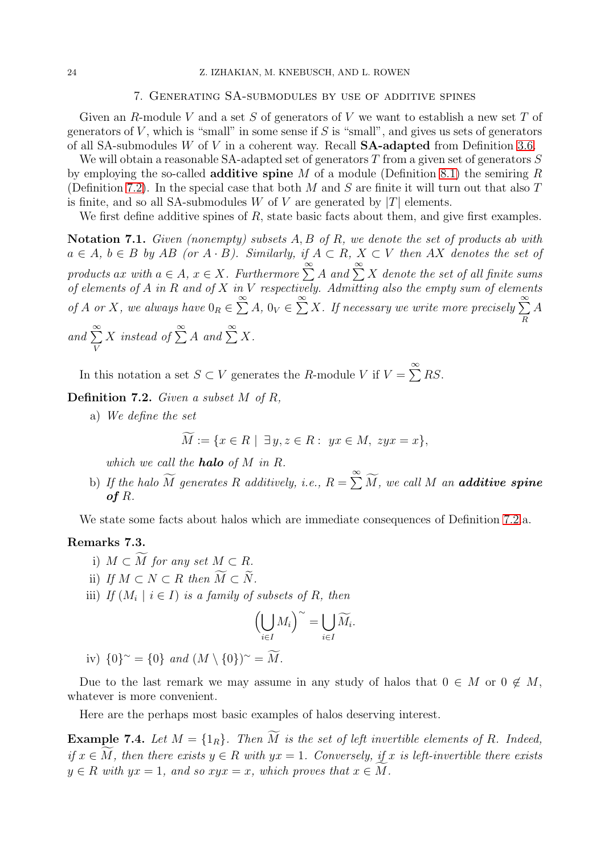## 7. Generating SA-submodules by use of additive spines

<span id="page-23-0"></span>Given an R-module V and a set S of generators of V we want to establish a new set T of generators of  $V$ , which is "small" in some sense if  $S$  is "small", and gives us sets of generators of all SA-submodules W of V in a coherent way. Recall  $SA$ -adapted from Definition [3.6.](#page-11-3)

We will obtain a reasonable SA-adapted set of generators  $T$  from a given set of generators  $S$ by employing the so-called **additive spine** M of a module (Definition [8.1\)](#page-27-3) the semiring R (Definition [7.2\)](#page-23-1). In the special case that both M and S are finite it will turn out that also  $T$ is finite, and so all SA-submodules W of V are generated by  $|T|$  elements.

We first define additive spines of R, state basic facts about them, and give first examples.

Notation 7.1. Given (nonempty) subsets  $A, B$  of  $R$ , we denote the set of products ab with  $a \in A$ ,  $b \in B$  by AB (or  $A \cdot B$ ). Similarly, if  $A \subset R$ ,  $X \subset V$  then AX denotes the set of products ax with  $a \in A$ ,  $x \in X$ . Furthermore  $\sum^{\infty} A$  and  $\sum^{\infty} X$  denote the set of all finite sums of elements of  $A$  in  $R$  and of  $X$  in  $V$  respectively. Admitting also the empty sum of elements of A or X, we always have  $0_R \in \sum^{\infty} A$ ,  $0_V \in \sum^{\infty} X$ . If necessary we write more precisely  $\sum^{\infty}$ R A and  $\sum^{\infty}$ V X instead of  $\sum^{\infty} A$  and  $\sum^{\infty} X$ .

In this notation a set  $S \subset V$  generates the R-module V if  $V = \sum_{i=1}^{\infty} RS$ .

<span id="page-23-1"></span>Definition 7.2. Given a subset M of R,

a) We define the set

$$
M := \{ x \in R \mid \exists y, z \in R : yx \in M, zyx = x \},
$$

which we call the **halo** of  $M$  in  $R$ .

b) If the halo  $\widetilde{M}$  generates R additively, i.e.,  $R = \sum_{n=1}^{\infty} \widetilde{M}$ , we call M an **additive spine** of R.

We state some facts about halos which are immediate consequences of Definition [7.2.](#page-23-1)a.

## <span id="page-23-2"></span>Remarks 7.3.

- i)  $M \subset \widetilde{M}$  for any set  $M \subset R$ .
- ii) If  $M \subset N \subset R$  then  $\widetilde{M} \subset \widetilde{N}$ .
- iii) If  $(M_i \mid i \in I)$  is a family of subsets of R, then

$$
\left(\bigcup_{i\in I}M_i\right)^{\sim}=\bigcup_{i\in I}\widetilde{M}_i.
$$

iv)  ${0}^{\sim} = {0}$  and  $(M \setminus {0})^{\sim} = M$ .

Due to the last remark we may assume in any study of halos that  $0 \in M$  or  $0 \notin M$ , whatever is more convenient.

Here are the perhaps most basic examples of halos deserving interest.

<span id="page-23-3"></span>**Example 7.4.** Let  $M = \{1_R\}$ . Then  $\widetilde{M}$  is the set of left invertible elements of R. Indeed, if  $x \in M$ , then there exists  $y \in R$  with  $yx = 1$ . Conversely, if x is left-invertible there exists  $y \in R$  with  $yx = 1$ , and so  $xyx = x$ , which proves that  $x \in M$ .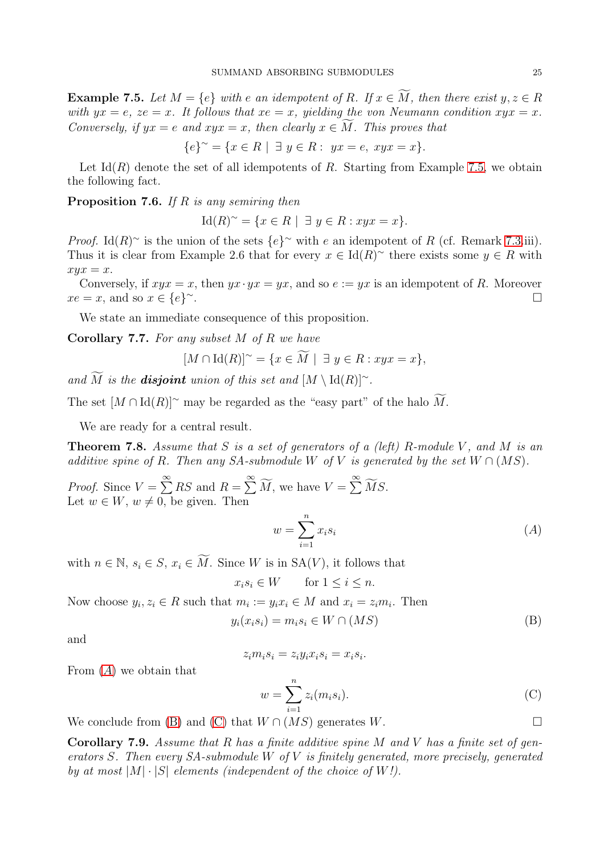<span id="page-24-1"></span>**Example 7.5.** Let  $M = \{e\}$  with e an idempotent of R. If  $x \in \widetilde{M}$ , then there exist  $y, z \in R$ with  $yx = e$ ,  $ze = x$ . It follows that  $xe = x$ , yielding the von Neumann condition  $xyx = x$ . Conversely, if  $yx = e$  and  $xyx = x$ , then clearly  $x \in M$ . This proves that

$$
\{e\}^{\sim} = \{x \in R \mid \exists y \in R : yx = e, xyx = x\}.
$$

Let  $\text{Id}(R)$  denote the set of all idempotents of R. Starting from Example [7.5,](#page-24-1) we obtain the following fact.

**Proposition 7.6.** If R is any semiring then

 $\text{Id}(R)^\sim = \{x \in R \mid \exists y \in R : xyx = x\}.$ 

*Proof.* Id(R)~ is the union of the sets  $\{e\}^{\sim}$  with e an idempotent of R (cf. Remark [7.3.](#page-23-2)iii). Thus it is clear from Example 2.6 that for every  $x \in Id(R)^\sim$  there exists some  $y \in R$  with  $xyx = x.$ 

Conversely, if  $xyx = x$ , then  $yx \cdot yx = yx$ , and so  $e := yx$  is an idempotent of R. Moreover  $xe = x$ , and so  $x \in \{e\}^{\sim}$ . <sup>∼</sup>.

We state an immediate consequence of this proposition.

Corollary 7.7. For any subset M of R we have

$$
[M \cap \operatorname{Id}(R)]^{\sim} = \{ x \in \widetilde{M} \mid \exists y \in R : xyx = x \},
$$

and  $\widetilde{M}$  is the **disjoint** union of this set and  $[M \setminus \text{Id}(R)]^{\sim}$ .

The set  $[M \cap \text{Id}(R)]^{\sim}$  may be regarded as the "easy part" of the halo M.

We are ready for a central result.

<span id="page-24-0"></span>**Theorem 7.8.** Assume that S is a set of generators of a (left) R-module V, and M is an additive spine of R. Then any SA-submodule W of V is generated by the set  $W \cap (MS)$ .

*Proof.* Since  $V = \sum^{\infty} RS$  and  $R = \sum^{\infty} \widetilde{M}$ , we have  $V = \sum^{\infty} \widetilde{MS}$ . Let  $w \in W$ ,  $w \neq 0$ , be given. Then

<span id="page-24-3"></span><span id="page-24-2"></span>
$$
w = \sum_{i=1}^{n} x_i s_i \tag{A}
$$

with  $n \in \mathbb{N}$ ,  $s_i \in S$ ,  $x_i \in \widetilde{M}$ . Since W is in  $SA(V)$ , it follows that

$$
x_i s_i \in W \qquad \text{for } 1 \le i \le n.
$$

Now choose  $y_i, z_i \in R$  such that  $m_i := y_i x_i \in M$  and  $x_i = z_i m_i$ . Then

$$
y_i(x_i s_i) = m_i s_i \in W \cap (MS)
$$
 (B)

and

$$
z_i m_i s_i = z_i y_i x_i s_i = x_i s_i.
$$

From  $(A)$  $(A)$  $(A)$  we obtain that

<span id="page-24-4"></span>
$$
w = \sum_{i=1}^{n} z_i (m_i s_i).
$$
 (C)

We conclude from [\(B\)](#page-24-3) and [\(C\)](#page-24-4) that  $W \cap (MS)$  generates W.

Corollary 7.9. Assume that  $R$  has a finite additive spine  $M$  and  $V$  has a finite set of generators S. Then every  $SA$ -submodule W of V is finitely generated, more precisely, generated by at most  $|M| \cdot |S|$  elements (independent of the choice of W!).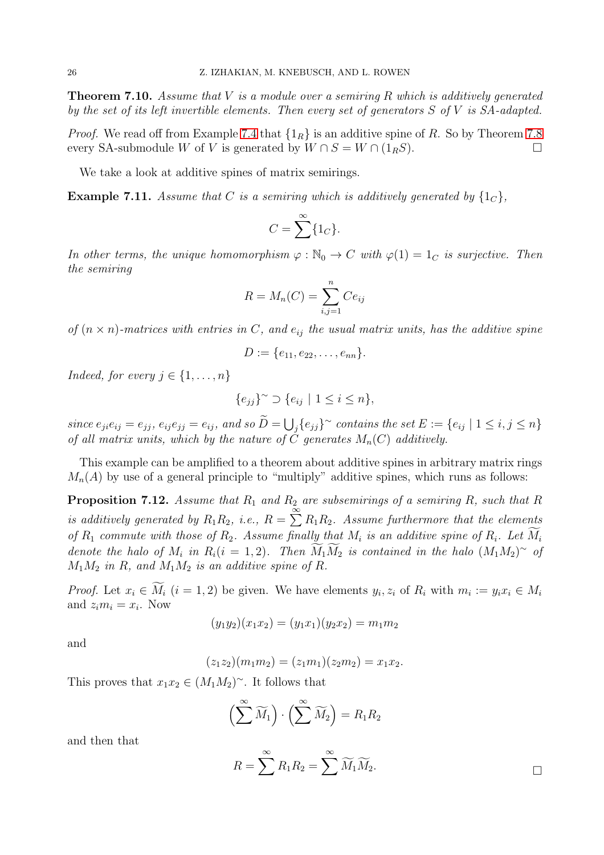<span id="page-25-0"></span>**Theorem 7.10.** Assume that V is a module over a semiring R which is additively generated by the set of its left invertible elements. Then every set of generators  $S$  of  $V$  is  $SA$ -adapted.

*Proof.* We read off from Example [7.4](#page-23-3) that  $\{1_R\}$  is an additive spine of R. So by Theorem [7.8](#page-24-0) every SA-submodule W of V is generated by  $W \cap S = W \cap (1_RS)$ .

We take a look at additive spines of matrix semirings.

<span id="page-25-1"></span>**Example 7.11.** Assume that C is a semiring which is additively generated by  $\{1_C\}$ ,

$$
C = \sum^{\infty} \{1_C\}.
$$

In other terms, the unique homomorphism  $\varphi : \mathbb{N}_0 \to C$  with  $\varphi(1) = 1_C$  is surjective. Then the semiring

$$
R = M_n(C) = \sum_{i,j=1}^n Ce_{ij}
$$

of  $(n \times n)$ -matrices with entries in C, and  $e_{ij}$  the usual matrix units, has the additive spine

$$
D := \{e_{11}, e_{22}, \ldots, e_{nn}\}.
$$

Indeed, for every  $j \in \{1, \ldots, n\}$ 

$$
\{e_{jj}\}^{\sim} \supset \{e_{ij} \mid 1 \leq i \leq n\},\
$$

 $since \ e_{ji}e_{ij}=e_{jj}, \ e_{ij}e_{jj}=e_{ij}, \ and \ so \ \widetilde{D}=\bigcup_j \{e_{jj}\}^\sim \ contains \ the \ set \ E:=\{e_{ij} \mid 1\leq i,j\leq n\}$ of all matrix units, which by the nature of  $\check{C}$  generates  $M_n(C)$  additively.

This example can be amplified to a theorem about additive spines in arbitrary matrix rings  $M_n(A)$  by use of a general principle to "multiply" additive spines, which runs as follows:

<span id="page-25-2"></span>**Proposition 7.12.** Assume that  $R_1$  and  $R_2$  are subsemirings of a semiring R, such that R is additively generated by  $R_1R_2$ , i.e.,  $R = \sum_{n=1}^{\infty} R_1R_2$ . Assume furthermore that the elements of  $R_1$  commute with those of  $R_2$ . Assume finally that  $M_i$  is an additive spine of  $R_i$ . Let  $M_i$ denote the halo of  $M_i$  in  $R_i(i = 1, 2)$ . Then  $M_1M_2$  is contained in the halo  $(M_1M_2)^\sim$  of  $M_1M_2$  in R, and  $M_1M_2$  is an additive spine of R.

*Proof.* Let  $x_i \in M_i$   $(i = 1, 2)$  be given. We have elements  $y_i, z_i$  of  $R_i$  with  $m_i := y_i x_i \in M_i$ and  $z_i m_i = x_i$ . Now

$$
(y_1y_2)(x_1x_2) = (y_1x_1)(y_2x_2) = m_1m_2
$$

and

$$
(z_1 z_2)(m_1 m_2) = (z_1 m_1)(z_2 m_2) = x_1 x_2.
$$

This proves that  $x_1x_2 \in (M_1M_2)^\sim$ . It follows that

$$
\left(\sum^{\infty} \widetilde{M}_1\right) \cdot \left(\sum^{\infty} \widetilde{M}_2\right) = R_1 R_2
$$

and then that

$$
R=\sum^{\infty}R_1R_2=\sum^{\infty}\widetilde{M}_1\widetilde{M}_2.
$$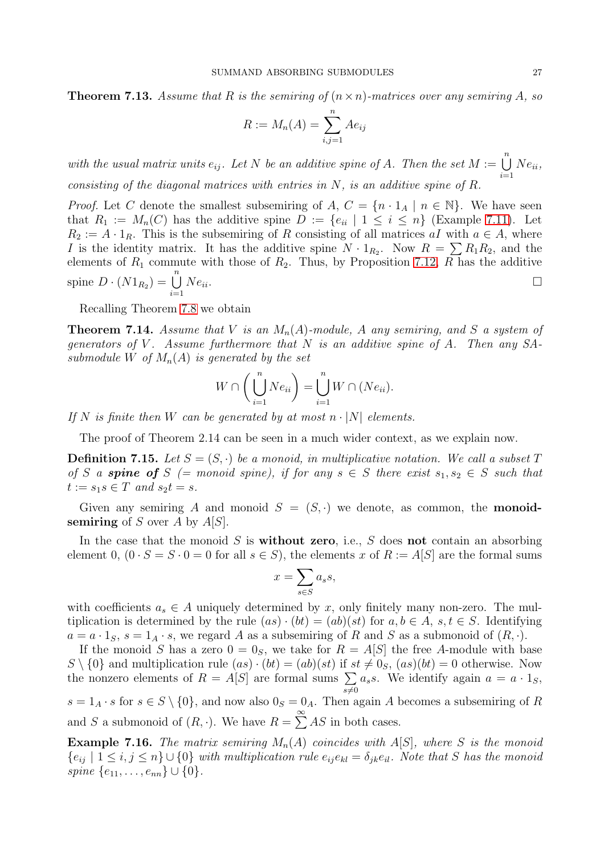**Theorem 7.13.** Assume that R is the semiring of  $(n \times n)$ -matrices over any semiring A, so

$$
R := M_n(A) = \sum_{i,j=1}^n Ae_{ij}
$$

with the usual matrix units  $e_{ij}$ . Let N be an additive spine of A. Then the set  $M := \bigcup_{i=1}^{n} A_i$  $i=1$  $Ne_{ii}$ , consisting of the diagonal matrices with entries in  $N$ , is an additive spine of  $R$ .

*Proof.* Let C denote the smallest subsemiring of A,  $C = \{n \cdot 1_A \mid n \in \mathbb{N}\}\.$  We have seen that  $R_1 := M_n(C)$  has the additive spine  $D := \{e_{ii} \mid 1 \le i \le n\}$  (Example [7.11\)](#page-25-1). Let  $R_2 := A \cdot 1_R$ . This is the subsemiring of R consisting of all matrices aI with  $a \in A$ , where I is the identity matrix. It has the additive spine  $N \cdot 1_{R_2}$ . Now  $R = \sum R_1 R_2$ , and the elements of  $R_1$  commute with those of  $R_2$ . Thus, by Proposition [7.12,](#page-25-2) R has the additive spine  $D \cdot (N1_{R_2}) = \bigcup^{n}$  $i=1$  $Ne_{ii}$ .

Recalling Theorem [7.8](#page-24-0) we obtain

<span id="page-26-0"></span>**Theorem 7.14.** Assume that V is an  $M_n(A)$ -module, A any semiring, and S a system of generators of V. Assume furthermore that  $N$  is an additive spine of  $A$ . Then any  $SA$ submodule W of  $M_n(A)$  is generated by the set

$$
W \cap \left(\bigcup_{i=1}^{n} Ne_{ii}\right) = \bigcup_{i=1}^{n} W \cap (Ne_{ii}).
$$

If N is finite then W can be generated by at most  $n \cdot |N|$  elements.

The proof of Theorem 2.14 can be seen in a much wider context, as we explain now.

**Definition 7.15.** Let  $S = (S, \cdot)$  be a monoid, in multiplicative notation. We call a subset T of S a **spine of** S (= monoid spine), if for any  $s \in S$  there exist  $s_1, s_2 \in S$  such that  $t := s_1 s \in T$  and  $s_2 t = s$ .

Given any semiring A and monoid  $S = (S, \cdot)$  we denote, as common, the **monoid**semiring of S over A by  $A[S]$ .

In the case that the monoid  $S$  is **without zero**, i.e.,  $S$  does **not** contain an absorbing element 0,  $(0 \cdot S = S \cdot 0 = 0$  for all  $s \in S$ , the elements x of  $R := A[S]$  are the formal sums

$$
x = \sum_{s \in S} a_s s,
$$

with coefficients  $a_s \in A$  uniquely determined by x, only finitely many non-zero. The multiplication is determined by the rule  $(as) \cdot (bt) = (ab)(st)$  for  $a, b \in A$ ,  $s, t \in S$ . Identifying  $a = a \cdot 1_S$ ,  $s = 1_A \cdot s$ , we regard A as a subsemiring of R and S as a submonoid of  $(R, \cdot)$ .

If the monoid S has a zero  $0 = 0_S$ , we take for  $R = A[S]$  the free A-module with base  $S \setminus \{0\}$  and multiplication rule  $(as) \cdot (bt) = (ab)(st)$  if  $st \neq 0_S$ ,  $(as)(bt) = 0$  otherwise. Now the nonzero elements of  $R = A[S]$  are formal sums  $\sum$  $s {\ne} 0$  $a_s$ s. We identify again  $a = a \cdot 1_S$ ,  $s = 1_A \cdot s$  for  $s \in S \setminus \{0\}$ , and now also  $0_S = 0_A$ . Then again A becomes a subsemiring of R

and S a submonoid of  $(R, \cdot)$ . We have  $R = \sum_{n=1}^{\infty} AS$  in both cases.

**Example 7.16.** The matrix semiring  $M_n(A)$  coincides with  $A[S]$ , where S is the monoid  ${e_{ij} | 1 \le i, j \le n} \cup {0}$  with multiplication rule  $e_{ij}e_{kl} = \delta_{jk}e_{il}$ . Note that S has the monoid spine  $\{e_{11}, \ldots, e_{nn}\} \cup \{0\}.$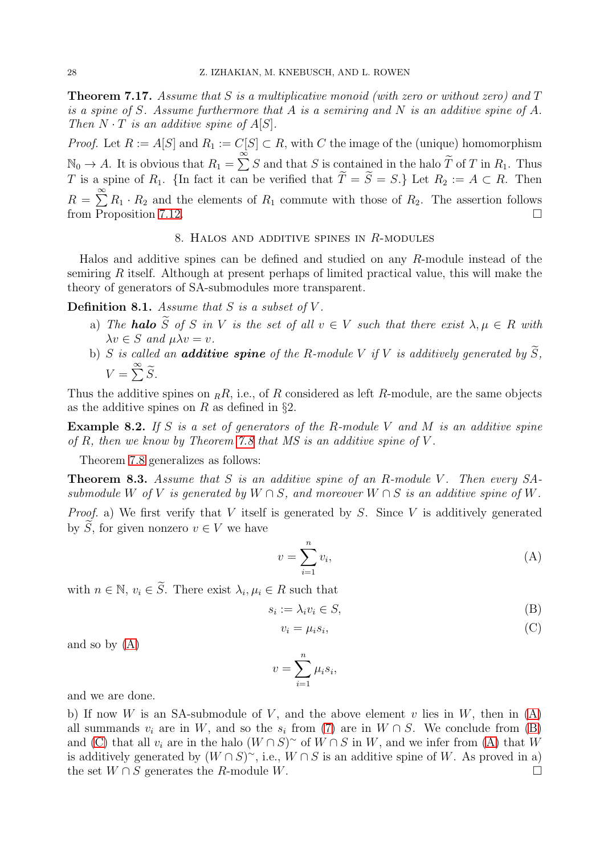<span id="page-27-2"></span>**Theorem 7.17.** Assume that S is a multiplicative monoid (with zero or without zero) and  $T$ is a spine of S. Assume furthermore that A is a semiring and N is an additive spine of A. Then  $N \cdot T$  is an additive spine of  $A[S]$ .

*Proof.* Let  $R := A[S]$  and  $R_1 := C[S] \subset R$ , with C the image of the (unique) homomorphism  $\mathbb{N}_0 \to A$ . It is obvious that  $R_1 = \sum_{n=0}^{\infty} S$  and that S is contained in the halo  $\widetilde{T}$  of T in  $R_1$ . Thus T is a spine of  $R_1$ . {In fact it can be verified that  $T = S = S$ .} Let  $R_2 := A \subset R$ . Then  $R = \sum_{n=1}^{\infty} R_1 \cdot R_2$  and the elements of  $R_1$  commute with those of  $R_2$ . The assertion follows from Proposition [7.12.](#page-25-2)

#### 8. HALOS AND ADDITIVE SPINES IN  $R$ -MODULES

<span id="page-27-0"></span>Halos and additive spines can be defined and studied on any R-module instead of the semiring R itself. Although at present perhaps of limited practical value, this will make the theory of generators of SA-submodules more transparent.

<span id="page-27-3"></span>**Definition 8.1.** Assume that  $S$  is a subset of  $V$ .

- a) The **halo**  $\widetilde{S}$  of S in V is the set of all  $v \in V$  such that there exist  $\lambda, \mu \in R$  with  $\lambda v \in S$  and  $\mu \lambda v = v$ .
- b) S is called an **additive spine** of the R-module V if V is additively generated by  $\widetilde{S}$ ,  $V = \sum^{\infty} \widetilde{S}.$

Thus the additive spines on  $_R$ R, i.e., of R considered as left R-module, are the same objects as the additive spines on R as defined in  $\S$ 2.

**Example 8.2.** If S is a set of generators of the R-module V and M is an additive spine of  $R$ , then we know by Theorem [7.8](#page-24-0) that  $MS$  is an additive spine of  $V$ .

Theorem [7.8](#page-24-0) generalizes as follows:

<span id="page-27-1"></span>**Theorem 8.3.** Assume that S is an additive spine of an R-module V. Then every SAsubmodule W of V is generated by  $W \cap S$ , and moreover  $W \cap S$  is an additive spine of W. *Proof.* a) We first verify that V itself is generated by S. Since V is additively generated by  $\widetilde{S}$ , for given nonzero  $v \in V$  we have

<span id="page-27-4"></span>
$$
v = \sum_{i=1}^{n} v_i,
$$
\n(A)

with  $n \in \mathbb{N}$ ,  $v_i \in S$ . There exist  $\lambda_i, \mu_i \in R$  such that

$$
s_i := \lambda_i v_i \in S,\tag{B}
$$

<span id="page-27-6"></span><span id="page-27-5"></span>
$$
v_i = \mu_i s_i,\tag{C}
$$

and so by [\(A\)](#page-27-4)

$$
v = \sum_{i=1}^{n} \mu_i s_i,
$$

and we are done.

b) If now W is an SA-submodule of V, and the above element v lies in W, then in  $(A)$ all summands  $v_i$  are in W, and so the  $s_i$  from [\(7\)](#page-24-2) are in  $W \cap S$ . We conclude from [\(B\)](#page-27-5) and [\(C\)](#page-27-6) that all  $v_i$  are in the halo  $(W \cap S)^\sim$  of  $W \cap S$  in W, and we infer from [\(A\)](#page-27-4) that W is additively generated by  $(W \cap S)^\sim$ , i.e.,  $W \cap S$  is an additive spine of W. As proved in a) the set  $W \cap S$  generates the R-module W.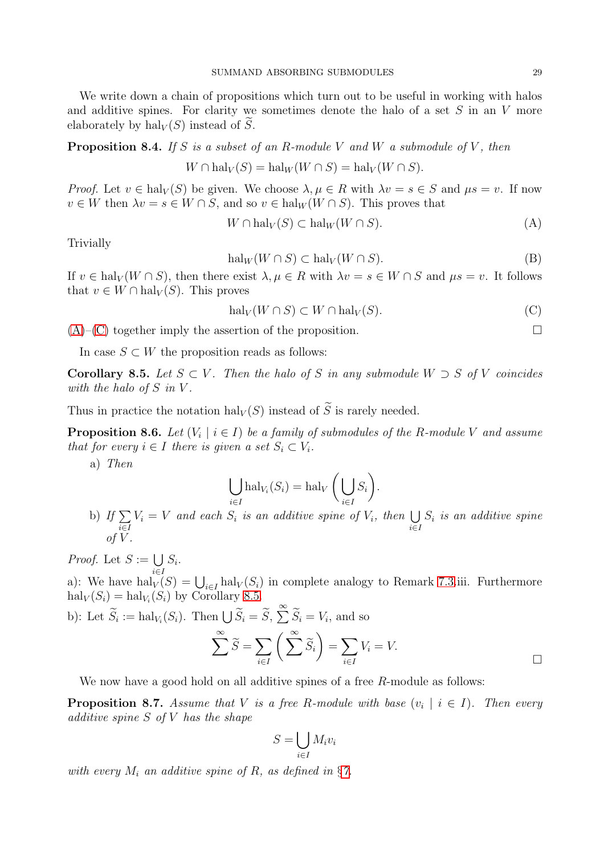We write down a chain of propositions which turn out to be useful in working with halos and additive spines. For clarity we sometimes denote the halo of a set  $S$  in an  $V$  more elaborately by  $\text{hal}_V(S)$  instead of S.

**Proposition 8.4.** If S is a subset of an R-module V and W a submodule of V, then

$$
W \cap \text{hal}_V(S) = \text{hal}_W(W \cap S) = \text{hal}_V(W \cap S).
$$

Proof. Let  $v \in \text{hal}_V(S)$  be given. We choose  $\lambda, \mu \in R$  with  $\lambda v = s \in S$  and  $\mu s = v$ . If now  $v \in W$  then  $\lambda v = s \in W \cap S$ , and so  $v \in \text{hal}_W(W \cap S)$ . This proves that

<span id="page-28-0"></span>
$$
W \cap \text{hal}_V(S) \subset \text{hal}_W(W \cap S). \tag{A}
$$

Trivially

$$
\mathrm{hal}_W(W \cap S) \subset \mathrm{hal}_V(W \cap S). \tag{B}
$$

If  $v \in \text{hal}_V(W \cap S)$ , then there exist  $\lambda, \mu \in R$  with  $\lambda v = s \in W \cap S$  and  $\mu s = v$ . It follows that  $v \in W \cap \text{hal}_V(S)$ . This proves

<span id="page-28-1"></span>
$$
halV(W \cap S) \subset W \cap halV(S).
$$
 (C)

 $(A)$ – $(C)$  together imply the assertion of the proposition.

In case  $S \subset W$  the proposition reads as follows:

<span id="page-28-2"></span>Corollary 8.5. Let  $S \subset V$ . Then the halo of S in any submodule  $W \supset S$  of V coincides with the halo of  $S$  in  $V$ .

Thus in practice the notation  $\text{hal}_V(S)$  instead of  $\widetilde{S}$  is rarely needed.

<span id="page-28-3"></span>**Proposition 8.6.** Let  $(V_i \mid i \in I)$  be a family of submodules of the R-module V and assume that for every  $i \in I$  there is given a set  $S_i \subset V_i$ .

a) Then

$$
\bigcup_{i \in I} \text{hal}_{V_i}(S_i) = \text{hal}_{V} \bigg( \bigcup_{i \in I} S_i \bigg).
$$

b) If  $\sum$ i∈I  $V_i = V$  and each  $S_i$  is an additive spine of  $V_i$ , then  $\bigcup$ i∈I  $S_i$  is an additive spine of  $V$ .

*Proof.* Let  $S := \bigcup S_i$ .

a): We have  $\text{hal}_V(S) = \bigcup_{i \in I} \text{hal}_V(S_i)$  in complete analogy to Remark [7.3.](#page-23-2)iii. Furthermore  $\text{hal}_V(S_i) = \text{hal}_{V_i}(S_i)$  by Corollary [8.5.](#page-28-2)

b): Let  $\widetilde{S}_i := \text{hal}_{V_i}(S_i)$ . Then  $\bigcup \widetilde{S}_i = \widetilde{S}, \ \sum_{i=1}^{\infty} \widetilde{S}_i = V_i$ , and so

$$
\sum_{i \in I} \widetilde{S} = \sum_{i \in I} \left( \sum_{i \in I} \widetilde{S}_i \right) = \sum_{i \in I} V_i = V.
$$

We now have a good hold on all additive spines of a free R-module as follows:

**Proposition 8.7.** Assume that V is a free R-module with base  $(v_i \mid i \in I)$ . Then every additive spine S of V has the shape

$$
S = \bigcup_{i \in I} M_i v_i
$$

with every  $M_i$  an additive spine of R, as defined in §[7.](#page-23-0)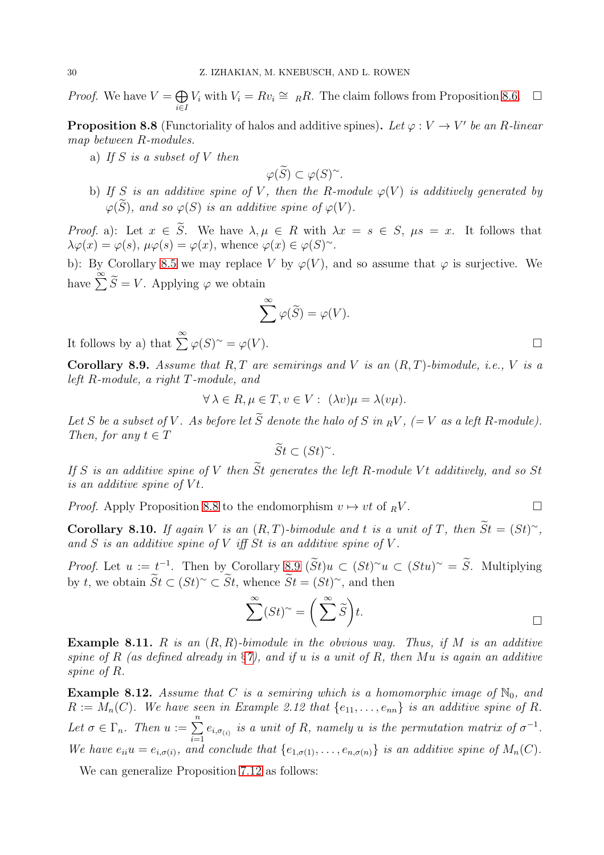*Proof.* We have  $V = \bigoplus$ i∈I  $V_i$  with  $V_i = Rv_i \cong R$ . The claim follows from Proposition [8.6.](#page-28-3)  $\Box$ 

<span id="page-29-0"></span>**Proposition 8.8** (Functoriality of halos and additive spines). Let  $\varphi: V \to V'$  be an R-linear map between R-modules.

a) If S is a subset of V then

$$
\varphi(\widetilde{S}) \subset \varphi(S)^{\sim}.
$$

b) If S is an additive spine of V, then the R-module  $\varphi(V)$  is additively generated by  $\varphi(\widetilde{S})$ , and so  $\varphi(S)$  is an additive spine of  $\varphi(V)$ .

*Proof.* a): Let  $x \in \tilde{S}$ . We have  $\lambda, \mu \in R$  with  $\lambda x = s \in S$ ,  $\mu s = x$ . It follows that  $\lambda \varphi(x) = \varphi(s), \, \mu \varphi(s) = \varphi(x), \, \text{whence } \varphi(x) \in \varphi(S)^\sim.$ 

b): By Corollary [8.5](#page-28-2) we may replace V by  $\varphi(V)$ , and so assume that  $\varphi$  is surjective. We have  $\sum_{i=1}^{\infty} \widetilde{S} = V$ . Applying  $\varphi$  we obtain

$$
\sum^{\infty} \varphi(\widetilde{S}) = \varphi(V).
$$

It follows by a) that  $\sum_{i=1}^{\infty} \varphi(S)^{\sim} = \varphi(V)$ .

<span id="page-29-1"></span>Corollary 8.9. Assume that  $R, T$  are semirings and V is an  $(R, T)$ -bimodule, i.e., V is a left R-module, a right T-module, and

$$
\forall \lambda \in R, \mu \in T, v \in V: (\lambda v)\mu = \lambda(v\mu).
$$

Let S be a subset of V. As before let  $\widetilde{S}$  denote the halo of S in  $_RV$ ,  $(=V$  as a left R-module). Then, for any  $t \in T$ 

$$
\widetilde{St} \subset (St)^{\sim}.
$$

If S is an additive spine of V then  $\widetilde{S}t$  generates the left R-module Vt additively, and so St is an additive spine of  $Vt$ .

*Proof.* Apply Proposition [8.8](#page-29-0) to the endomorphism  $v \mapsto vt$  of  $\overline{R}V$ .

Corollary 8.10. If again V is an  $(R, T)$ -bimodule and t is a unit of T, then  $St = (St)^{\sim}$ , and  $S$  is an additive spine of  $V$  iff  $St$  is an additive spine of  $V$ .

*Proof.* Let  $u := t^{-1}$ . Then by Corollary [8.9](#page-29-1)  $(\tilde{S}t)u \subset (St)^{\sim}u \subset (Stu)^{\sim} = \tilde{S}$ . Multiplying by t, we obtain  $\tilde{St} \subset (St)^{\sim} \subset St$ , whence  $\tilde{St} = (St)^{\sim}$ , and then

$$
\sum^{\infty} (St)^{\sim} = \left( \sum^{\infty} \widetilde{S} \right) t.
$$

**Example 8.11.** R is an  $(R, R)$ -bimodule in the obvious way. Thus, if M is an additive spine of R (as defined already in  $\S 7$ ), and if u is a unit of R, then Mu is again an additive spine of R.

**Example 8.12.** Assume that C is a semiring which is a homomorphic image of  $\mathbb{N}_0$ , and  $R := M_n(C)$ . We have seen in Example 2.12 that  $\{e_{11}, \ldots, e_{nn}\}$  is an additive spine of R. Let  $\sigma \in \Gamma_n$ . Then  $u := \sum_{n=1}^n$  $\sum_{i=1} e_{i,\sigma(i)}$  is a unit of R, namely u is the permutation matrix of  $\sigma^{-1}$ . We have  $e_{ii}u = e_{i,\sigma(i)}$ , and conclude that  $\{e_{1,\sigma(1)},\ldots,e_{n,\sigma(n)}\}$  is an additive spine of  $M_n(C)$ .

We can generalize Proposition [7.12](#page-25-2) as follows: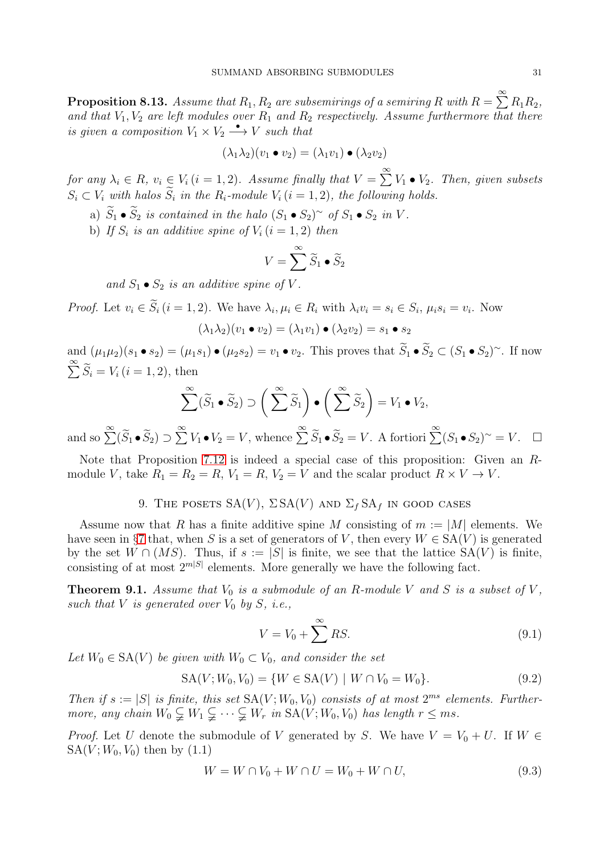$\bf{Proposition 8.13.}$  Assume that  $R_1, R_2$  are subsemirings of a semiring  $R$  with  $R = \sum\limits^{\infty} R_1 R_2,$ and that  $V_1, V_2$  are left modules over  $R_1$  and  $R_2$  respectively. Assume furthermore that there is given a composition  $V_1 \times V_2 \longrightarrow V$  such that

$$
(\lambda_1 \lambda_2)(v_1 \bullet v_2) = (\lambda_1 v_1) \bullet (\lambda_2 v_2)
$$

for any  $\lambda_i \in R$ ,  $v_i \in V_i$   $(i = 1, 2)$ . Assume finally that  $V = \sum_{i=1}^{\infty} V_1 \bullet V_2$ . Then, given subsets  $S_i \subset V_i$  with halos  $S_i$  in the  $R_i$ -module  $V_i$   $(i = 1, 2)$ , the following holds.

a)  $S_1 \bullet S_2$  is contained in the halo  $(S_1 \bullet S_2)^\sim$  of  $S_1 \bullet S_2$  in V.

b) If  $S_i$  is an additive spine of  $V_i$   $(i = 1, 2)$  then

$$
V = \sum_{n=1}^{\infty} \widetilde{S}_1 \bullet \widetilde{S}_2
$$

and  $S_1 \bullet S_2$  is an additive spine of V.

*Proof.* Let  $v_i \in S_i$   $(i = 1, 2)$ . We have  $\lambda_i, \mu_i \in R_i$  with  $\lambda_i v_i = s_i \in S_i$ ,  $\mu_i s_i = v_i$ . Now

$$
(\lambda_1 \lambda_2)(v_1 \bullet v_2) = (\lambda_1 v_1) \bullet (\lambda_2 v_2) = s_1 \bullet s_2
$$

and  $(\mu_1\mu_2)(s_1 \bullet s_2) = (\mu_1s_1) \bullet (\mu_2s_2) = v_1 \bullet v_2$ . This proves that  $S_1 \bullet S_2 \subset (S_1 \bullet S_2)^\sim$ . If now  $\sum_{i=1}^{\infty} \widetilde{S}_i = V_i \, (i = 1, 2)$ , then

$$
\sum_{i=1}^{\infty} (\widetilde{S}_1 \bullet \widetilde{S}_2) \supset \left( \sum_{i=1}^{\infty} \widetilde{S}_1 \right) \bullet \left( \sum_{i=1}^{\infty} \widetilde{S}_2 \right) = V_1 \bullet V_2,
$$

and so  $\sum^{\infty} (\widetilde{S}_1 \bullet \widetilde{S}_2) \supset \sum^{\infty} V_1 \bullet V_2 = V$ , whence  $\sum^{\infty} \widetilde{S}_1 \bullet \widetilde{S}_2 = V$ . A fortiori  $\sum^{\infty} (S_1 \bullet S_2)^{\sim} = V$ .  $\Box$ 

<span id="page-30-0"></span>Note that Proposition [7.12](#page-25-2) is indeed a special case of this proposition: Given an Rmodule V, take  $R_1 = R_2 = R$ ,  $V_1 = R$ ,  $V_2 = V$  and the scalar product  $R \times V \to V$ .

9. THE POSETS  $SA(V)$ ,  $\Sigma SA(V)$  and  $\Sigma_f SA_f$  in good cases

Assume now that R has a finite additive spine M consisting of  $m := |M|$  elements. We have seen in §[7](#page-23-0) that, when S is a set of generators of V, then every  $W \in SA(V)$  is generated by the set  $W \cap (MS)$ . Thus, if  $s := |S|$  is finite, we see that the lattice  $SA(V)$  is finite, consisting of at most  $2^{m|S|}$  elements. More generally we have the following fact.

**Theorem 9.1.** Assume that  $V_0$  is a submodule of an R-module V and S is a subset of V, such that V is generated over  $V_0$  by  $S$ , i.e.,

$$
V = V_0 + \sum^{\infty} RS.
$$
\n(9.1)

Let  $W_0 \in SA(V)$  be given with  $W_0 \subset V_0$ , and consider the set

$$
SA(V; W_0, V_0) = \{ W \in SA(V) \mid W \cap V_0 = W_0 \}. \tag{9.2}
$$

Then if  $s := |S|$  is finite, this set  $SA(V; W_0, V_0)$  consists of at most  $2^{ms}$  elements. Furthermore, any chain  $W_0 \subsetneq W_1 \subsetneq \cdots \subsetneq W_r$  in  $SA(V; W_0, V_0)$  has length  $r \leq ms$ .

*Proof.* Let U denote the submodule of V generated by S. We have  $V = V_0 + U$ . If  $W \in$  $SA(V; W_0, V_0)$  then by  $(1.1)$ 

<span id="page-30-1"></span>
$$
W = W \cap V_0 + W \cap U = W_0 + W \cap U,\tag{9.3}
$$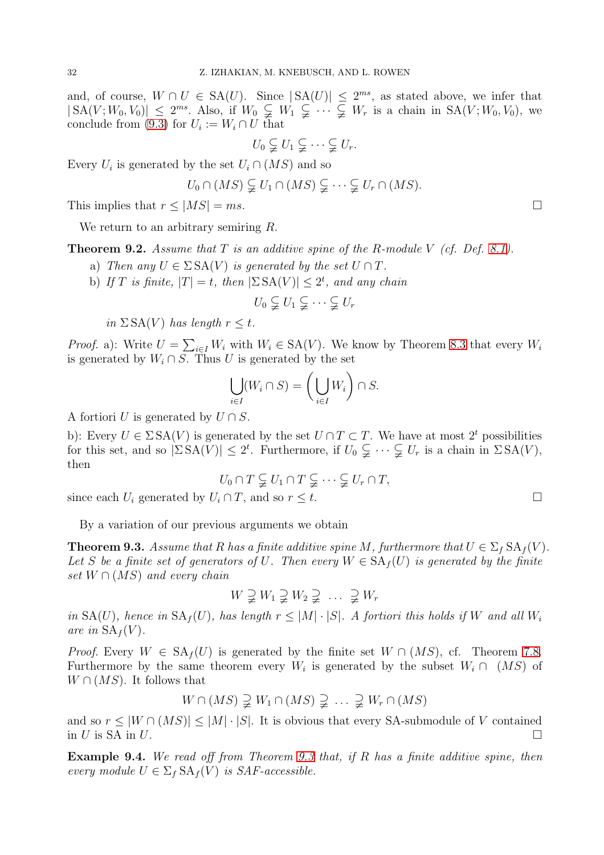and, of course,  $W \cap U \in SA(U)$ . Since  $|SA(U)| \leq 2^{ms}$ , as stated above, we infer that  $|SA(V;W_0,V_0)| \leq 2^{ms}$ . Also, if  $W_0 \subsetneq W_1 \subsetneq \cdots \subsetneq W_r$  is a chain in  $SA(V;W_0,V_0)$ , we conclude from [\(9.3\)](#page-30-1) for  $U_i := W_i \cap U$  that

$$
U_0 \subsetneq U_1 \subsetneq \cdots \subsetneq U_r.
$$

Every  $U_i$  is generated by the set  $U_i \cap (MS)$  and so

$$
U_0 \cap (MS) \subsetneq U_1 \cap (MS) \subsetneq \cdots \subsetneq U_r \cap (MS).
$$

This implies that  $r \leq |MS| = ms$ .

We return to an arbitrary semiring R.

<span id="page-31-1"></span>**Theorem 9.2.** Assume that  $T$  is an additive spine of the R-module  $V$  (cf. Def. [8.1\)](#page-27-3).

- a) Then any  $U \in \Sigma \, \text{SA}(V)$  is generated by the set  $U \cap T$ .
- b) If T is finite,  $|T| = t$ , then  $|\Sigma S A(V)| \leq 2^t$ , and any chain

$$
U_0 \subsetneqq U_1 \subsetneqq \cdots \subsetneqq U_r
$$

in  $\Sigma$  SA(V) has length  $r \leq t$ .

*Proof.* a): Write  $U = \sum_{i \in I} W_i$  with  $W_i \in SA(V)$ . We know by Theorem [8.3](#page-27-1) that every  $W_i$ is generated by  $W_i \cap S$ . Thus U is generated by the set

$$
\bigcup_{i \in I} (W_i \cap S) = \left(\bigcup_{i \in I} W_i\right) \cap S.
$$

A fortiori U is generated by  $U \cap S$ .

b): Every  $U \in \Sigma \, SA(V)$  is generated by the set  $U \cap T \subset T$ . We have at most  $2^t$  possibilities for this set, and so  $|\Sigma SA(V)| \leq 2^t$ . Furthermore, if  $U_0 \subsetneq \cdots \subsetneq U_r$  is a chain in  $\Sigma SA(V)$ , then

$$
U_0 \cap T \subsetneq U_1 \cap T \subsetneq \cdots \subsetneq U_r \cap T,
$$

since each  $U_i$  generated by  $U_i \cap T$ , and so  $r \leq t$ .

By a variation of our previous arguments we obtain

<span id="page-31-0"></span>**Theorem 9.3.** Assume that R has a finite additive spine M, furthermore that  $U \in \Sigma_f \, SA_f(V)$ . Let S be a finite set of generators of U. Then every  $W \in SA_f(U)$  is generated by the finite set  $W \cap (MS)$  and every chain

$$
W \supsetneq W_1 \supsetneq W_2 \supsetneq \ldots \supsetneq W_r
$$

in  $SA(U)$ , hence in  $SA<sub>f</sub>(U)$ , has length  $r < |M| \cdot |S|$ . A fortiori this holds if W and all  $W<sub>i</sub>$ are in  $SA_f(V)$ .

*Proof.* Every  $W \in SA_f(U)$  is generated by the finite set  $W \cap (MS)$ , cf. Theorem [7.8.](#page-24-0) Furthermore by the same theorem every  $W_i$  is generated by the subset  $W_i \cap (MS)$  of  $W \cap (MS)$ . It follows that

$$
W \cap (MS) \supsetneq W_1 \cap (MS) \supsetneq \ldots \supsetneq W_r \cap (MS)
$$

and so  $r \leq |W \cap (MS)| \leq |M| \cdot |S|$ . It is obvious that every SA-submodule of V contained in U is SA in U.

Example 9.4. We read off from Theorem [9.3](#page-31-0) that, if R has a finite additive spine, then every module  $U \in \Sigma_f \, SA_f(V)$  is SAF-accessible.